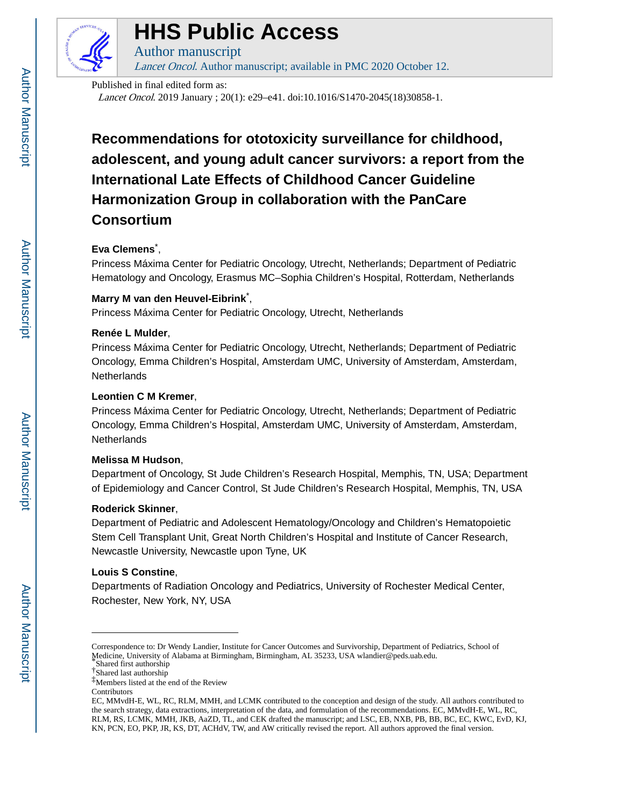

## **HHS Public Access**

Author manuscript Lancet Oncol. Author manuscript; available in PMC 2020 October 12.

Published in final edited form as:

Lancet Oncol. 2019 January ; 20(1): e29–e41. doi:10.1016/S1470-2045(18)30858-1.

### **Recommendations for ototoxicity surveillance for childhood, adolescent, and young adult cancer survivors: a report from the International Late Effects of Childhood Cancer Guideline Harmonization Group in collaboration with the PanCare Consortium**

#### **Eva Clemens**\* ,

Princess Máxima Center for Pediatric Oncology, Utrecht, Netherlands; Department of Pediatric Hematology and Oncology, Erasmus MC–Sophia Children's Hospital, Rotterdam, Netherlands

#### **Marry M van den Heuvel-Eibrink**\* ,

Princess Máxima Center for Pediatric Oncology, Utrecht, Netherlands

#### **Renée L Mulder**,

Princess Máxima Center for Pediatric Oncology, Utrecht, Netherlands; Department of Pediatric Oncology, Emma Children's Hospital, Amsterdam UMC, University of Amsterdam, Amsterdam, **Netherlands** 

#### **Leontien C M Kremer**,

Princess Máxima Center for Pediatric Oncology, Utrecht, Netherlands; Department of Pediatric Oncology, Emma Children's Hospital, Amsterdam UMC, University of Amsterdam, Amsterdam, **Netherlands** 

#### **Melissa M Hudson**,

Department of Oncology, St Jude Children's Research Hospital, Memphis, TN, USA; Department of Epidemiology and Cancer Control, St Jude Children's Research Hospital, Memphis, TN, USA

#### **Roderick Skinner**,

Department of Pediatric and Adolescent Hematology/Oncology and Children's Hematopoietic Stem Cell Transplant Unit, Great North Children's Hospital and Institute of Cancer Research, Newcastle University, Newcastle upon Tyne, UK

#### **Louis S Constine**,

Departments of Radiation Oncology and Pediatrics, University of Rochester Medical Center, Rochester, New York, NY, USA

Shared first authorship †Shared last authorship

Correspondence to: Dr Wendy Landier, Institute for Cancer Outcomes and Survivorship, Department of Pediatrics, School of Medicine, University of Alabama at Birmingham, Birmingham, AL 35233, USA wlandier@peds.uab.edu.

<sup>‡</sup>Members listed at the end of the Review

**Contributors** 

EC, MMvdH-E, WL, RC, RLM, MMH, and LCMK contributed to the conception and design of the study. All authors contributed to the search strategy, data extractions, interpretation of the data, and formulation of the recommendations. EC, MMvdH-E, WL, RC, RLM, RS, LCMK, MMH, JKB, AaZD, TL, and CEK drafted the manuscript; and LSC, EB, NXB, PB, BB, BC, EC, KWC, EvD, KJ, KN, PCN, EO, PKP, JR, KS, DT, ACHdV, TW, and AW critically revised the report. All authors approved the final version.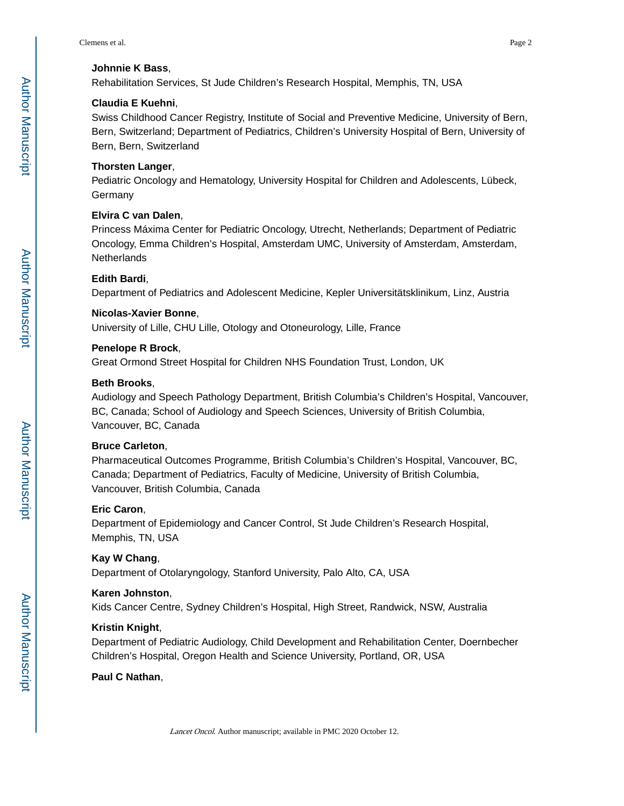#### **Johnnie K Bass**,

Rehabilitation Services, St Jude Children's Research Hospital, Memphis, TN, USA

#### **Claudia E Kuehni**,

Swiss Childhood Cancer Registry, Institute of Social and Preventive Medicine, University of Bern, Bern, Switzerland; Department of Pediatrics, Children's University Hospital of Bern, University of Bern, Bern, Switzerland

#### **Thorsten Langer**,

Pediatric Oncology and Hematology, University Hospital for Children and Adolescents, Lübeck, **Germany** 

#### **Elvira C van Dalen**,

Princess Máxima Center for Pediatric Oncology, Utrecht, Netherlands; Department of Pediatric Oncology, Emma Children's Hospital, Amsterdam UMC, University of Amsterdam, Amsterdam, **Netherlands** 

#### **Edith Bardi**,

Department of Pediatrics and Adolescent Medicine, Kepler Universitätsklinikum, Linz, Austria

#### **Nicolas-Xavier Bonne**,

University of Lille, CHU Lille, Otology and Otoneurology, Lille, France

#### **Penelope R Brock**,

Great Ormond Street Hospital for Children NHS Foundation Trust, London, UK

#### **Beth Brooks**,

Audiology and Speech Pathology Department, British Columbia's Children's Hospital, Vancouver, BC, Canada; School of Audiology and Speech Sciences, University of British Columbia, Vancouver, BC, Canada

#### **Bruce Carleton**,

Pharmaceutical Outcomes Programme, British Columbia's Children's Hospital, Vancouver, BC, Canada; Department of Pediatrics, Faculty of Medicine, University of British Columbia, Vancouver, British Columbia, Canada

#### **Eric Caron**,

Department of Epidemiology and Cancer Control, St Jude Children's Research Hospital, Memphis, TN, USA

#### **Kay W Chang**,

Department of Otolaryngology, Stanford University, Palo Alto, CA, USA

#### **Karen Johnston**,

Kids Cancer Centre, Sydney Children's Hospital, High Street, Randwick, NSW, Australia

#### **Kristin Knight**,

Department of Pediatric Audiology, Child Development and Rehabilitation Center, Doernbecher Children's Hospital, Oregon Health and Science University, Portland, OR, USA

#### **Paul C Nathan**,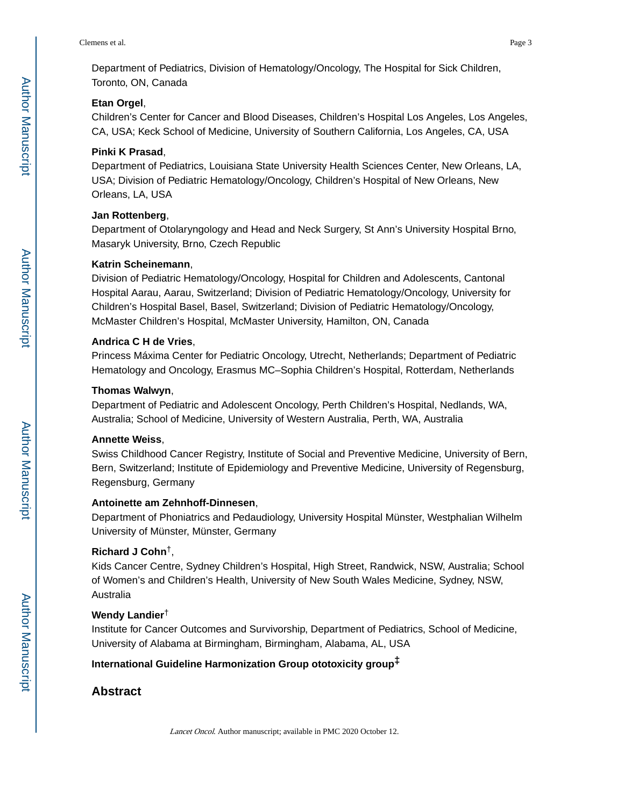Department of Pediatrics, Division of Hematology/Oncology, The Hospital for Sick Children, Toronto, ON, Canada

#### **Etan Orgel**,

Children's Center for Cancer and Blood Diseases, Children's Hospital Los Angeles, Los Angeles, CA, USA; Keck School of Medicine, University of Southern California, Los Angeles, CA, USA

#### **Pinki K Prasad**,

Department of Pediatrics, Louisiana State University Health Sciences Center, New Orleans, LA, USA; Division of Pediatric Hematology/Oncology, Children's Hospital of New Orleans, New Orleans, LA, USA

#### **Jan Rottenberg**,

Department of Otolaryngology and Head and Neck Surgery, St Ann's University Hospital Brno, Masaryk University, Brno, Czech Republic

#### **Katrin Scheinemann**,

Division of Pediatric Hematology/Oncology, Hospital for Children and Adolescents, Cantonal Hospital Aarau, Aarau, Switzerland; Division of Pediatric Hematology/Oncology, University for Children's Hospital Basel, Basel, Switzerland; Division of Pediatric Hematology/Oncology, McMaster Children's Hospital, McMaster University, Hamilton, ON, Canada

#### **Andrica C H de Vries**,

Princess Máxima Center for Pediatric Oncology, Utrecht, Netherlands; Department of Pediatric Hematology and Oncology, Erasmus MC–Sophia Children's Hospital, Rotterdam, Netherlands

#### **Thomas Walwyn**,

Department of Pediatric and Adolescent Oncology, Perth Children's Hospital, Nedlands, WA, Australia; School of Medicine, University of Western Australia, Perth, WA, Australia

#### **Annette Weiss**,

Swiss Childhood Cancer Registry, Institute of Social and Preventive Medicine, University of Bern, Bern, Switzerland; Institute of Epidemiology and Preventive Medicine, University of Regensburg, Regensburg, Germany

#### **Antoinette am Zehnhoff-Dinnesen**,

Department of Phoniatrics and Pedaudiology, University Hospital Münster, Westphalian Wilhelm University of Münster, Münster, Germany

#### **Richard J Cohn**†,

Kids Cancer Centre, Sydney Children's Hospital, High Street, Randwick, NSW, Australia; School of Women's and Children's Health, University of New South Wales Medicine, Sydney, NSW, Australia

#### **Wendy Landier**†

Institute for Cancer Outcomes and Survivorship, Department of Pediatrics, School of Medicine, University of Alabama at Birmingham, Birmingham, Alabama, AL, USA

#### **International Guideline Harmonization Group ototoxicity group‡**

#### **Abstract**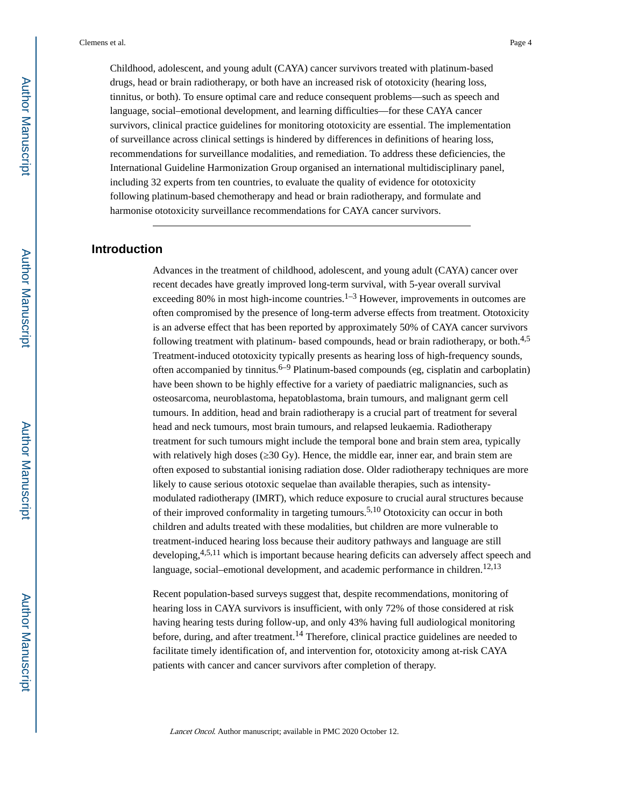Childhood, adolescent, and young adult (CAYA) cancer survivors treated with platinum-based drugs, head or brain radiotherapy, or both have an increased risk of ototoxicity (hearing loss, tinnitus, or both). To ensure optimal care and reduce consequent problems—such as speech and language, social–emotional development, and learning difficulties—for these CAYA cancer survivors, clinical practice guidelines for monitoring ototoxicity are essential. The implementation of surveillance across clinical settings is hindered by differences in definitions of hearing loss, recommendations for surveillance modalities, and remediation. To address these deficiencies, the International Guideline Harmonization Group organised an international multidisciplinary panel, including 32 experts from ten countries, to evaluate the quality of evidence for ototoxicity following platinum-based chemotherapy and head or brain radiotherapy, and formulate and harmonise ototoxicity surveillance recommendations for CAYA cancer survivors.

#### **Introduction**

Advances in the treatment of childhood, adolescent, and young adult (CAYA) cancer over recent decades have greatly improved long-term survival, with 5-year overall survival exceeding 80% in most high-income countries. $1-3$  However, improvements in outcomes are often compromised by the presence of long-term adverse effects from treatment. Ototoxicity is an adverse effect that has been reported by approximately 50% of CAYA cancer survivors following treatment with platinum- based compounds, head or brain radiotherapy, or both. $4,5$ Treatment-induced ototoxicity typically presents as hearing loss of high-frequency sounds, often accompanied by tinnitus.<sup>6–9</sup> Platinum-based compounds (eg, cisplatin and carboplatin) have been shown to be highly effective for a variety of paediatric malignancies, such as osteosarcoma, neuroblastoma, hepatoblastoma, brain tumours, and malignant germ cell tumours. In addition, head and brain radiotherapy is a crucial part of treatment for several head and neck tumours, most brain tumours, and relapsed leukaemia. Radiotherapy treatment for such tumours might include the temporal bone and brain stem area, typically with relatively high doses  $(30 \text{ Gy})$ . Hence, the middle ear, inner ear, and brain stem are often exposed to substantial ionising radiation dose. Older radiotherapy techniques are more likely to cause serious ototoxic sequelae than available therapies, such as intensitymodulated radiotherapy (IMRT), which reduce exposure to crucial aural structures because of their improved conformality in targeting tumours.5,10 Ototoxicity can occur in both children and adults treated with these modalities, but children are more vulnerable to treatment-induced hearing loss because their auditory pathways and language are still developing,<sup>4,5,11</sup> which is important because hearing deficits can adversely affect speech and language, social–emotional development, and academic performance in children.<sup>12,13</sup>

Recent population-based surveys suggest that, despite recommendations, monitoring of hearing loss in CAYA survivors is insufficient, with only 72% of those considered at risk having hearing tests during follow-up, and only 43% having full audiological monitoring before, during, and after treatment.<sup>14</sup> Therefore, clinical practice guidelines are needed to facilitate timely identification of, and intervention for, ototoxicity among at-risk CAYA patients with cancer and cancer survivors after completion of therapy.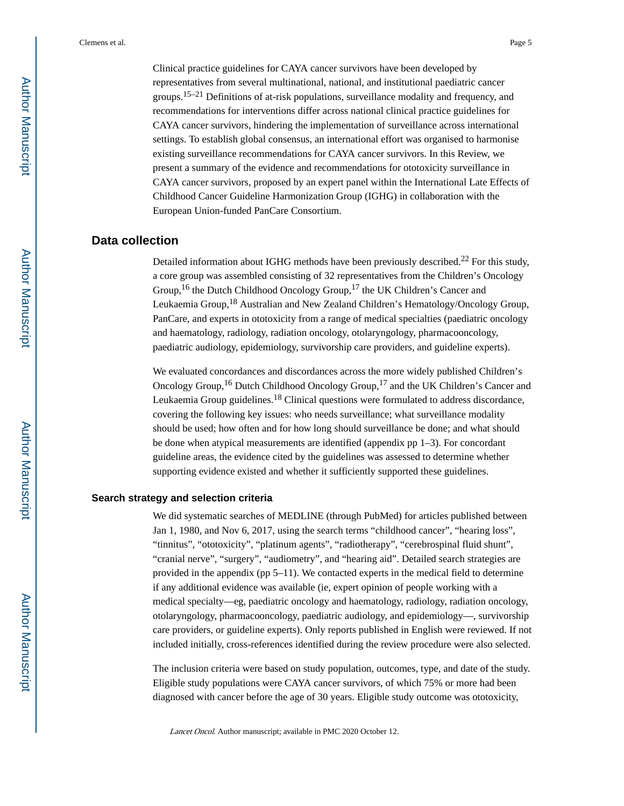Clinical practice guidelines for CAYA cancer survivors have been developed by representatives from several multinational, national, and institutional paediatric cancer groups.15–21 Definitions of at-risk populations, surveillance modality and frequency, and recommendations for interventions differ across national clinical practice guidelines for CAYA cancer survivors, hindering the implementation of surveillance across international settings. To establish global consensus, an international effort was organised to harmonise existing surveillance recommendations for CAYA cancer survivors. In this Review, we present a summary of the evidence and recommendations for ototoxicity surveillance in CAYA cancer survivors, proposed by an expert panel within the International Late Effects of Childhood Cancer Guideline Harmonization Group (IGHG) in collaboration with the European Union-funded PanCare Consortium.

#### **Data collection**

Detailed information about IGHG methods have been previously described.<sup>22</sup> For this study, a core group was assembled consisting of 32 representatives from the Children's Oncology Group,16 the Dutch Childhood Oncology Group,17 the UK Children's Cancer and Leukaemia Group,18 Australian and New Zealand Children's Hematology/Oncology Group, PanCare, and experts in ototoxicity from a range of medical specialties (paediatric oncology and haematology, radiology, radiation oncology, otolaryngology, pharmacooncology, paediatric audiology, epidemiology, survivorship care providers, and guideline experts).

We evaluated concordances and discordances across the more widely published Children's Oncology Group,16 Dutch Childhood Oncology Group,17 and the UK Children's Cancer and Leukaemia Group guidelines.<sup>18</sup> Clinical questions were formulated to address discordance, covering the following key issues: who needs surveillance; what surveillance modality should be used; how often and for how long should surveillance be done; and what should be done when atypical measurements are identified (appendix pp 1–3). For concordant guideline areas, the evidence cited by the guidelines was assessed to determine whether supporting evidence existed and whether it sufficiently supported these guidelines.

#### **Search strategy and selection criteria**

We did systematic searches of MEDLINE (through PubMed) for articles published between Jan 1, 1980, and Nov 6, 2017, using the search terms "childhood cancer", "hearing loss", "tinnitus", "ototoxicity", "platinum agents", "radiotherapy", "cerebrospinal fluid shunt", "cranial nerve", "surgery", "audiometry", and "hearing aid". Detailed search strategies are provided in the appendix (pp 5–11). We contacted experts in the medical field to determine if any additional evidence was available (ie, expert opinion of people working with a medical specialty—eg, paediatric oncology and haematology, radiology, radiation oncology, otolaryngology, pharmacooncology, paediatric audiology, and epidemiology—, survivorship care providers, or guideline experts). Only reports published in English were reviewed. If not included initially, cross-references identified during the review procedure were also selected.

The inclusion criteria were based on study population, outcomes, type, and date of the study. Eligible study populations were CAYA cancer survivors, of which 75% or more had been diagnosed with cancer before the age of 30 years. Eligible study outcome was ototoxicity,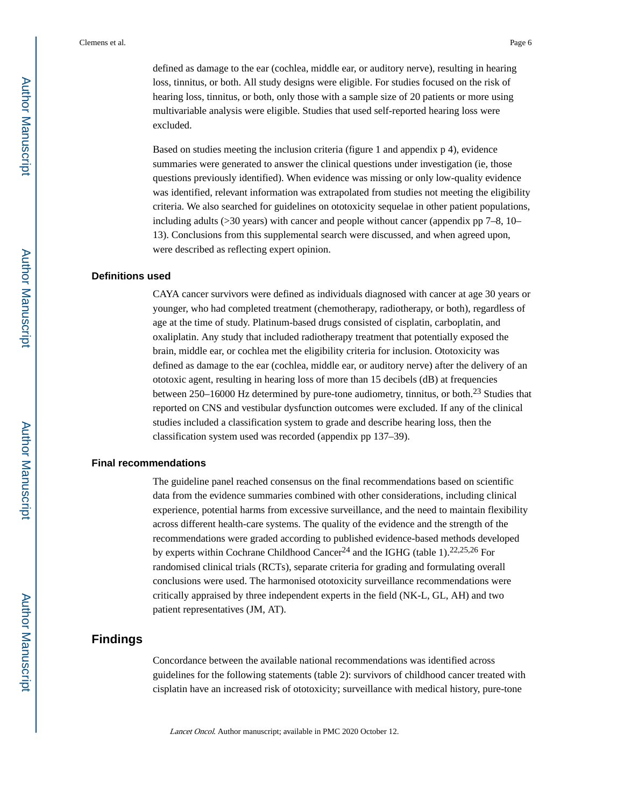defined as damage to the ear (cochlea, middle ear, or auditory nerve), resulting in hearing loss, tinnitus, or both. All study designs were eligible. For studies focused on the risk of hearing loss, tinnitus, or both, only those with a sample size of 20 patients or more using multivariable analysis were eligible. Studies that used self-reported hearing loss were excluded.

Based on studies meeting the inclusion criteria (figure 1 and appendix p 4), evidence summaries were generated to answer the clinical questions under investigation (ie, those questions previously identified). When evidence was missing or only low-quality evidence was identified, relevant information was extrapolated from studies not meeting the eligibility criteria. We also searched for guidelines on ototoxicity sequelae in other patient populations, including adults (>30 years) with cancer and people without cancer (appendix pp 7–8, 10– 13). Conclusions from this supplemental search were discussed, and when agreed upon, were described as reflecting expert opinion.

#### **Definitions used**

CAYA cancer survivors were defined as individuals diagnosed with cancer at age 30 years or younger, who had completed treatment (chemotherapy, radiotherapy, or both), regardless of age at the time of study. Platinum-based drugs consisted of cisplatin, carboplatin, and oxaliplatin. Any study that included radiotherapy treatment that potentially exposed the brain, middle ear, or cochlea met the eligibility criteria for inclusion. Ototoxicity was defined as damage to the ear (cochlea, middle ear, or auditory nerve) after the delivery of an ototoxic agent, resulting in hearing loss of more than 15 decibels (dB) at frequencies between 250–16000 Hz determined by pure-tone audiometry, tinnitus, or both.<sup>23</sup> Studies that reported on CNS and vestibular dysfunction outcomes were excluded. If any of the clinical studies included a classification system to grade and describe hearing loss, then the classification system used was recorded (appendix pp 137–39).

#### **Final recommendations**

The guideline panel reached consensus on the final recommendations based on scientific data from the evidence summaries combined with other considerations, including clinical experience, potential harms from excessive surveillance, and the need to maintain flexibility across different health-care systems. The quality of the evidence and the strength of the recommendations were graded according to published evidence-based methods developed by experts within Cochrane Childhood Cancer<sup>24</sup> and the IGHG (table 1).<sup>22,25,26</sup> For randomised clinical trials (RCTs), separate criteria for grading and formulating overall conclusions were used. The harmonised ototoxicity surveillance recommendations were critically appraised by three independent experts in the field (NK-L, GL, AH) and two patient representatives (JM, AT).

#### **Findings**

Concordance between the available national recommendations was identified across guidelines for the following statements (table 2): survivors of childhood cancer treated with cisplatin have an increased risk of ototoxicity; surveillance with medical history, pure-tone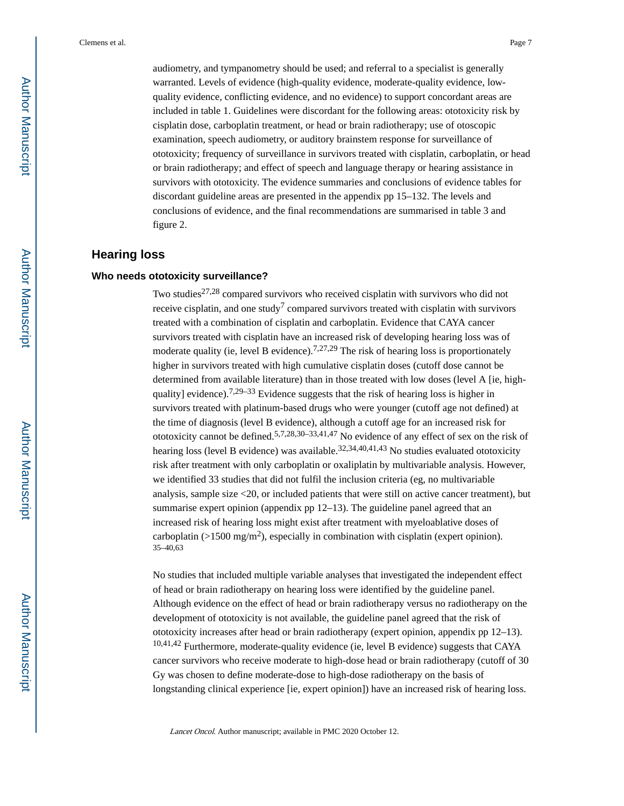audiometry, and tympanometry should be used; and referral to a specialist is generally warranted. Levels of evidence (high-quality evidence, moderate-quality evidence, lowquality evidence, conflicting evidence, and no evidence) to support concordant areas are included in table 1. Guidelines were discordant for the following areas: ototoxicity risk by cisplatin dose, carboplatin treatment, or head or brain radiotherapy; use of otoscopic examination, speech audiometry, or auditory brainstem response for surveillance of ototoxicity; frequency of surveillance in survivors treated with cisplatin, carboplatin, or head or brain radiotherapy; and effect of speech and language therapy or hearing assistance in survivors with ototoxicity. The evidence summaries and conclusions of evidence tables for discordant guideline areas are presented in the appendix pp 15–132. The levels and conclusions of evidence, and the final recommendations are summarised in table 3 and figure 2.

#### **Hearing loss**

#### **Who needs ototoxicity surveillance?**

Two studies<sup>27,28</sup> compared survivors who received cisplatin with survivors who did not receive cisplatin, and one study<sup>7</sup> compared survivors treated with cisplatin with survivors treated with a combination of cisplatin and carboplatin. Evidence that CAYA cancer survivors treated with cisplatin have an increased risk of developing hearing loss was of moderate quality (ie, level B evidence).<sup>7,27,29</sup> The risk of hearing loss is proportionately higher in survivors treated with high cumulative cisplatin doses (cutoff dose cannot be determined from available literature) than in those treated with low doses (level A [ie, highquality] evidence).<sup>7,29–33</sup> Evidence suggests that the risk of hearing loss is higher in survivors treated with platinum-based drugs who were younger (cutoff age not defined) at the time of diagnosis (level B evidence), although a cutoff age for an increased risk for ototoxicity cannot be defined.5,7,28,30–33,41,47 No evidence of any effect of sex on the risk of hearing loss (level B evidence) was available.<sup>32,34,40,41,43</sup> No studies evaluated ototoxicity risk after treatment with only carboplatin or oxaliplatin by multivariable analysis. However, we identified 33 studies that did not fulfil the inclusion criteria (eg, no multivariable analysis, sample size <20, or included patients that were still on active cancer treatment), but summarise expert opinion (appendix pp 12–13). The guideline panel agreed that an increased risk of hearing loss might exist after treatment with myeloablative doses of carboplatin (>1500 mg/m<sup>2</sup>), especially in combination with cisplatin (expert opinion). 35–40,63

No studies that included multiple variable analyses that investigated the independent effect of head or brain radiotherapy on hearing loss were identified by the guideline panel. Although evidence on the effect of head or brain radiotherapy versus no radiotherapy on the development of ototoxicity is not available, the guideline panel agreed that the risk of ototoxicity increases after head or brain radiotherapy (expert opinion, appendix pp 12–13). 10,41,42 Furthermore, moderate-quality evidence (ie, level B evidence) suggests that CAYA cancer survivors who receive moderate to high-dose head or brain radiotherapy (cutoff of 30 Gy was chosen to define moderate-dose to high-dose radiotherapy on the basis of longstanding clinical experience [ie, expert opinion]) have an increased risk of hearing loss.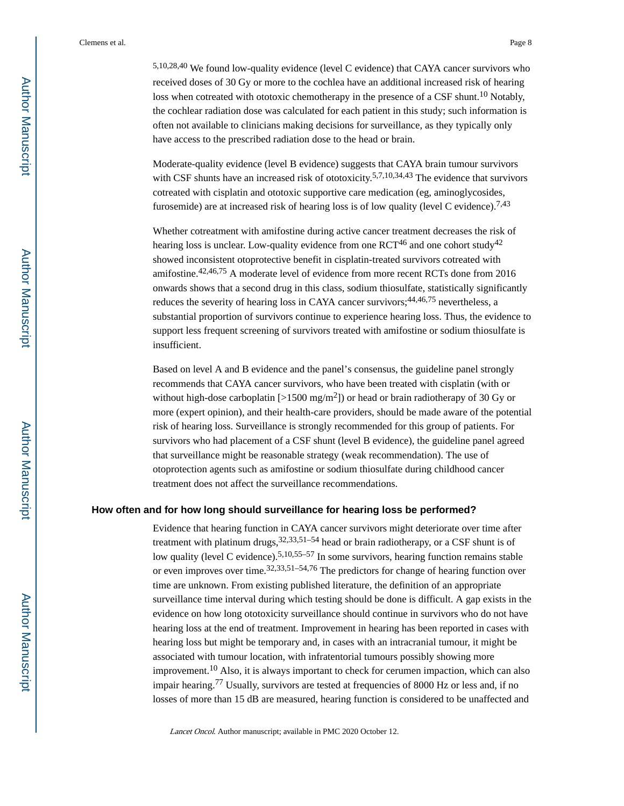5,10,28,40 We found low-quality evidence (level C evidence) that CAYA cancer survivors who received doses of 30 Gy or more to the cochlea have an additional increased risk of hearing loss when cotreated with ototoxic chemotherapy in the presence of a CSF shunt.<sup>10</sup> Notably, the cochlear radiation dose was calculated for each patient in this study; such information is often not available to clinicians making decisions for surveillance, as they typically only have access to the prescribed radiation dose to the head or brain.

Moderate-quality evidence (level B evidence) suggests that CAYA brain tumour survivors with CSF shunts have an increased risk of ototoxicity.<sup>5,7,10,34,43</sup> The evidence that survivors cotreated with cisplatin and ototoxic supportive care medication (eg, aminoglycosides, furosemide) are at increased risk of hearing loss is of low quality (level C evidence).<sup>7,43</sup>

Whether cotreatment with amifostine during active cancer treatment decreases the risk of hearing loss is unclear. Low-quality evidence from one  $\text{RCT}^{46}$  and one cohort study<sup>42</sup> showed inconsistent otoprotective benefit in cisplatin-treated survivors cotreated with amifostine.42,46,75 A moderate level of evidence from more recent RCTs done from 2016 onwards shows that a second drug in this class, sodium thiosulfate, statistically significantly reduces the severity of hearing loss in CAYA cancer survivors;  $44,46,75$  nevertheless, a substantial proportion of survivors continue to experience hearing loss. Thus, the evidence to support less frequent screening of survivors treated with amifostine or sodium thiosulfate is insufficient.

Based on level A and B evidence and the panel's consensus, the guideline panel strongly recommends that CAYA cancer survivors, who have been treated with cisplatin (with or without high-dose carboplatin [>1500 mg/m<sup>2</sup>]) or head or brain radiotherapy of 30 Gy or more (expert opinion), and their health-care providers, should be made aware of the potential risk of hearing loss. Surveillance is strongly recommended for this group of patients. For survivors who had placement of a CSF shunt (level B evidence), the guideline panel agreed that surveillance might be reasonable strategy (weak recommendation). The use of otoprotection agents such as amifostine or sodium thiosulfate during childhood cancer treatment does not affect the surveillance recommendations.

#### **How often and for how long should surveillance for hearing loss be performed?**

Evidence that hearing function in CAYA cancer survivors might deteriorate over time after treatment with platinum drugs,  $32,33,51-54$  head or brain radiotherapy, or a CSF shunt is of low quality (level C evidence).<sup>5,10,55–57</sup> In some survivors, hearing function remains stable or even improves over time.<sup>32,33,51–54,76</sup> The predictors for change of hearing function over time are unknown. From existing published literature, the definition of an appropriate surveillance time interval during which testing should be done is difficult. A gap exists in the evidence on how long ototoxicity surveillance should continue in survivors who do not have hearing loss at the end of treatment. Improvement in hearing has been reported in cases with hearing loss but might be temporary and, in cases with an intracranial tumour, it might be associated with tumour location, with infratentorial tumours possibly showing more improvement.10 Also, it is always important to check for cerumen impaction, which can also impair hearing.77 Usually, survivors are tested at frequencies of 8000 Hz or less and, if no losses of more than 15 dB are measured, hearing function is considered to be unaffected and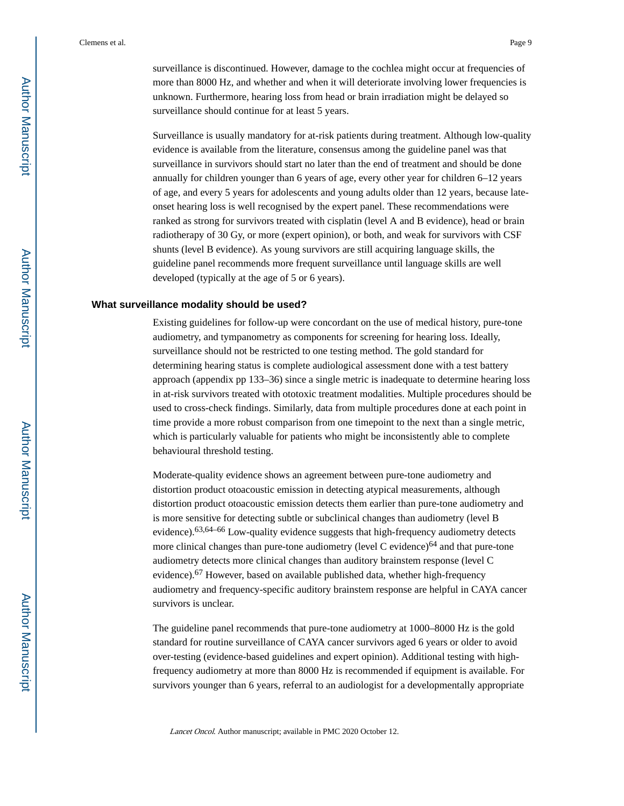surveillance is discontinued. However, damage to the cochlea might occur at frequencies of more than 8000 Hz, and whether and when it will deteriorate involving lower frequencies is unknown. Furthermore, hearing loss from head or brain irradiation might be delayed so surveillance should continue for at least 5 years.

Surveillance is usually mandatory for at-risk patients during treatment. Although low-quality evidence is available from the literature, consensus among the guideline panel was that surveillance in survivors should start no later than the end of treatment and should be done annually for children younger than 6 years of age, every other year for children 6–12 years of age, and every 5 years for adolescents and young adults older than 12 years, because lateonset hearing loss is well recognised by the expert panel. These recommendations were ranked as strong for survivors treated with cisplatin (level A and B evidence), head or brain radiotherapy of 30 Gy, or more (expert opinion), or both, and weak for survivors with CSF shunts (level B evidence). As young survivors are still acquiring language skills, the guideline panel recommends more frequent surveillance until language skills are well developed (typically at the age of 5 or 6 years).

#### **What surveillance modality should be used?**

Existing guidelines for follow-up were concordant on the use of medical history, pure-tone audiometry, and tympanometry as components for screening for hearing loss. Ideally, surveillance should not be restricted to one testing method. The gold standard for determining hearing status is complete audiological assessment done with a test battery approach (appendix pp 133–36) since a single metric is inadequate to determine hearing loss in at-risk survivors treated with ototoxic treatment modalities. Multiple procedures should be used to cross-check findings. Similarly, data from multiple procedures done at each point in time provide a more robust comparison from one timepoint to the next than a single metric, which is particularly valuable for patients who might be inconsistently able to complete behavioural threshold testing.

Moderate-quality evidence shows an agreement between pure-tone audiometry and distortion product otoacoustic emission in detecting atypical measurements, although distortion product otoacoustic emission detects them earlier than pure-tone audiometry and is more sensitive for detecting subtle or subclinical changes than audiometry (level B evidence).63,64–66 Low-quality evidence suggests that high-frequency audiometry detects more clinical changes than pure-tone audiometry (level C evidence)<sup>64</sup> and that pure-tone audiometry detects more clinical changes than auditory brainstem response (level C evidence).67 However, based on available published data, whether high-frequency audiometry and frequency-specific auditory brainstem response are helpful in CAYA cancer survivors is unclear.

The guideline panel recommends that pure-tone audiometry at 1000–8000 Hz is the gold standard for routine surveillance of CAYA cancer survivors aged 6 years or older to avoid over-testing (evidence-based guidelines and expert opinion). Additional testing with highfrequency audiometry at more than 8000 Hz is recommended if equipment is available. For survivors younger than 6 years, referral to an audiologist for a developmentally appropriate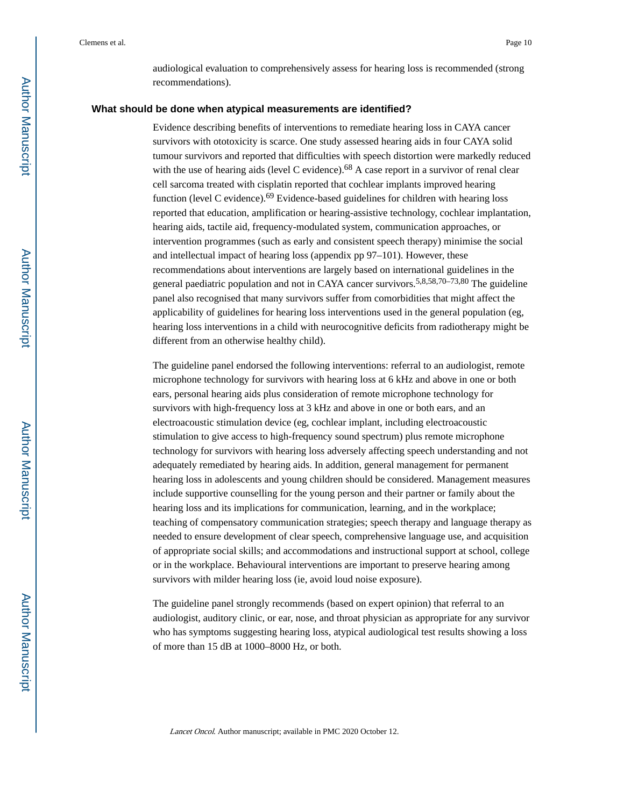audiological evaluation to comprehensively assess for hearing loss is recommended (strong recommendations).

#### **What should be done when atypical measurements are identified?**

Evidence describing benefits of interventions to remediate hearing loss in CAYA cancer survivors with ototoxicity is scarce. One study assessed hearing aids in four CAYA solid tumour survivors and reported that difficulties with speech distortion were markedly reduced with the use of hearing aids (level C evidence).<sup>68</sup> A case report in a survivor of renal clear cell sarcoma treated with cisplatin reported that cochlear implants improved hearing function (level C evidence).<sup>69</sup> Evidence-based guidelines for children with hearing loss reported that education, amplification or hearing-assistive technology, cochlear implantation, hearing aids, tactile aid, frequency-modulated system, communication approaches, or intervention programmes (such as early and consistent speech therapy) minimise the social and intellectual impact of hearing loss (appendix pp 97–101). However, these recommendations about interventions are largely based on international guidelines in the general paediatric population and not in CAYA cancer survivors.<sup>5,8,58,70–73,80</sup> The guideline panel also recognised that many survivors suffer from comorbidities that might affect the applicability of guidelines for hearing loss interventions used in the general population (eg, hearing loss interventions in a child with neurocognitive deficits from radiotherapy might be different from an otherwise healthy child).

The guideline panel endorsed the following interventions: referral to an audiologist, remote microphone technology for survivors with hearing loss at 6 kHz and above in one or both ears, personal hearing aids plus consideration of remote microphone technology for survivors with high-frequency loss at 3 kHz and above in one or both ears, and an electroacoustic stimulation device (eg, cochlear implant, including electroacoustic stimulation to give access to high-frequency sound spectrum) plus remote microphone technology for survivors with hearing loss adversely affecting speech understanding and not adequately remediated by hearing aids. In addition, general management for permanent hearing loss in adolescents and young children should be considered. Management measures include supportive counselling for the young person and their partner or family about the hearing loss and its implications for communication, learning, and in the workplace; teaching of compensatory communication strategies; speech therapy and language therapy as needed to ensure development of clear speech, comprehensive language use, and acquisition of appropriate social skills; and accommodations and instructional support at school, college or in the workplace. Behavioural interventions are important to preserve hearing among survivors with milder hearing loss (ie, avoid loud noise exposure).

The guideline panel strongly recommends (based on expert opinion) that referral to an audiologist, auditory clinic, or ear, nose, and throat physician as appropriate for any survivor who has symptoms suggesting hearing loss, atypical audiological test results showing a loss of more than 15 dB at 1000–8000 Hz, or both.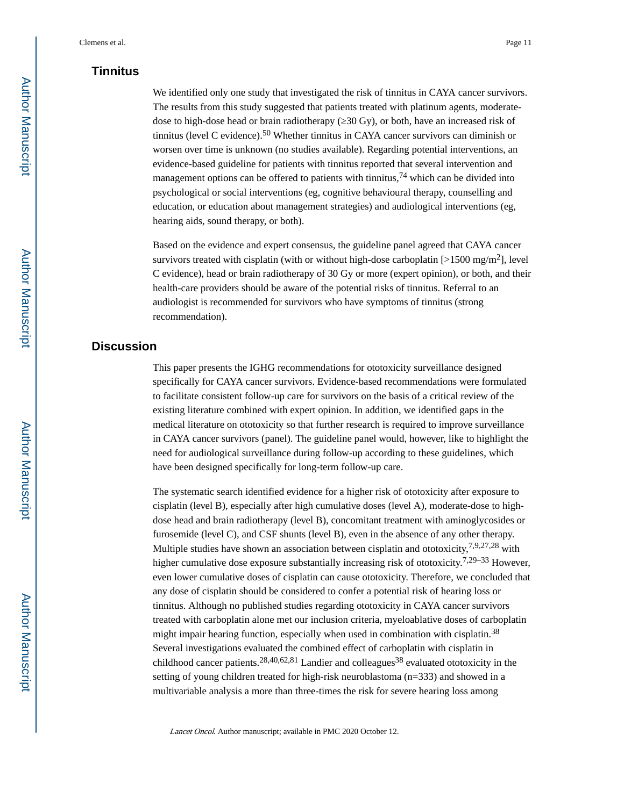#### **Tinnitus**

We identified only one study that investigated the risk of tinnitus in CAYA cancer survivors. The results from this study suggested that patients treated with platinum agents, moderatedose to high-dose head or brain radiotherapy ( $\overline{30}$  Gy), or both, have an increased risk of tinnitus (level C evidence).<sup>50</sup> Whether tinnitus in CAYA cancer survivors can diminish or worsen over time is unknown (no studies available). Regarding potential interventions, an evidence-based guideline for patients with tinnitus reported that several intervention and management options can be offered to patients with tinnitus,  $74$  which can be divided into psychological or social interventions (eg, cognitive behavioural therapy, counselling and education, or education about management strategies) and audiological interventions (eg, hearing aids, sound therapy, or both).

Based on the evidence and expert consensus, the guideline panel agreed that CAYA cancer survivors treated with cisplatin (with or without high-dose carboplatin  $[>1500 \text{ mg/m}^2]$ , level C evidence), head or brain radiotherapy of 30 Gy or more (expert opinion), or both, and their health-care providers should be aware of the potential risks of tinnitus. Referral to an audiologist is recommended for survivors who have symptoms of tinnitus (strong recommendation).

#### **Discussion**

This paper presents the IGHG recommendations for ototoxicity surveillance designed specifically for CAYA cancer survivors. Evidence-based recommendations were formulated to facilitate consistent follow-up care for survivors on the basis of a critical review of the existing literature combined with expert opinion. In addition, we identified gaps in the medical literature on ototoxicity so that further research is required to improve surveillance in CAYA cancer survivors (panel). The guideline panel would, however, like to highlight the need for audiological surveillance during follow-up according to these guidelines, which have been designed specifically for long-term follow-up care.

The systematic search identified evidence for a higher risk of ototoxicity after exposure to cisplatin (level B), especially after high cumulative doses (level A), moderate-dose to highdose head and brain radiotherapy (level B), concomitant treatment with aminoglycosides or furosemide (level C), and CSF shunts (level B), even in the absence of any other therapy. Multiple studies have shown an association between cisplatin and ototoxicity,  $7,9,27,28$  with higher cumulative dose exposure substantially increasing risk of ototoxicity.<sup>7,29–33</sup> However, even lower cumulative doses of cisplatin can cause ototoxicity. Therefore, we concluded that any dose of cisplatin should be considered to confer a potential risk of hearing loss or tinnitus. Although no published studies regarding ototoxicity in CAYA cancer survivors treated with carboplatin alone met our inclusion criteria, myeloablative doses of carboplatin might impair hearing function, especially when used in combination with cisplatin.<sup>38</sup> Several investigations evaluated the combined effect of carboplatin with cisplatin in childhood cancer patients.<sup>28,40,62,81</sup> Landier and colleagues<sup>38</sup> evaluated ototoxicity in the setting of young children treated for high-risk neuroblastoma (n=333) and showed in a multivariable analysis a more than three-times the risk for severe hearing loss among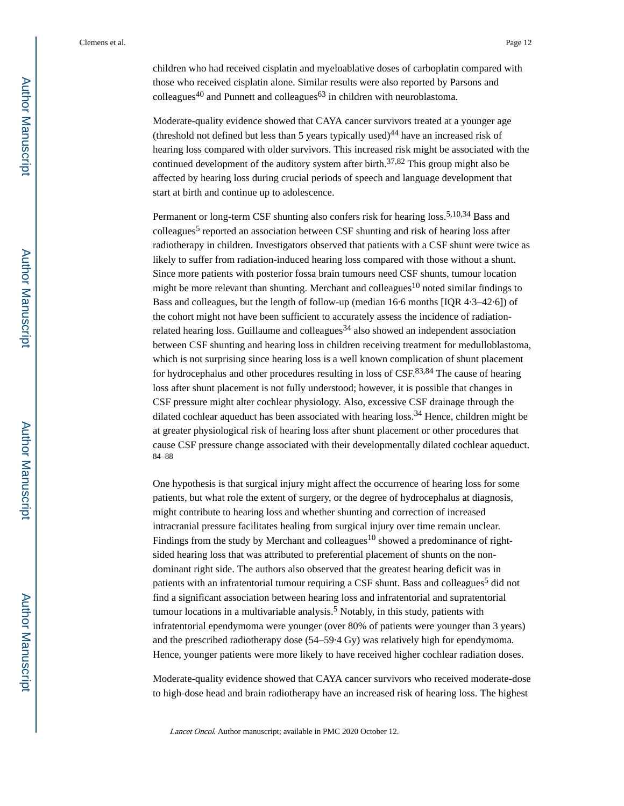children who had received cisplatin and myeloablative doses of carboplatin compared with those who received cisplatin alone. Similar results were also reported by Parsons and  $\text{colleagues}^{40}$  and Punnett and colleagues<sup>63</sup> in children with neuroblastoma.

Moderate-quality evidence showed that CAYA cancer survivors treated at a younger age (threshold not defined but less than 5 years typically used)<sup>44</sup> have an increased risk of hearing loss compared with older survivors. This increased risk might be associated with the continued development of the auditory system after birth.<sup>37,82</sup> This group might also be affected by hearing loss during crucial periods of speech and language development that start at birth and continue up to adolescence.

Permanent or long-term CSF shunting also confers risk for hearing loss.<sup>5,10,34</sup> Bass and colleagues<sup>5</sup> reported an association between CSF shunting and risk of hearing loss after radiotherapy in children. Investigators observed that patients with a CSF shunt were twice as likely to suffer from radiation-induced hearing loss compared with those without a shunt. Since more patients with posterior fossa brain tumours need CSF shunts, tumour location might be more relevant than shunting. Merchant and colleagues<sup>10</sup> noted similar findings to Bass and colleagues, but the length of follow-up (median 16·6 months [IQR 4·3–42·6]) of the cohort might not have been sufficient to accurately assess the incidence of radiationrelated hearing loss. Guillaume and colleagues<sup>34</sup> also showed an independent association between CSF shunting and hearing loss in children receiving treatment for medulloblastoma, which is not surprising since hearing loss is a well known complication of shunt placement for hydrocephalus and other procedures resulting in loss of  $CSF^{83,84}$  The cause of hearing loss after shunt placement is not fully understood; however, it is possible that changes in CSF pressure might alter cochlear physiology. Also, excessive CSF drainage through the dilated cochlear aqueduct has been associated with hearing loss.<sup>34</sup> Hence, children might be at greater physiological risk of hearing loss after shunt placement or other procedures that cause CSF pressure change associated with their developmentally dilated cochlear aqueduct. 84–88

One hypothesis is that surgical injury might affect the occurrence of hearing loss for some patients, but what role the extent of surgery, or the degree of hydrocephalus at diagnosis, might contribute to hearing loss and whether shunting and correction of increased intracranial pressure facilitates healing from surgical injury over time remain unclear. Findings from the study by Merchant and colleagues<sup>10</sup> showed a predominance of rightsided hearing loss that was attributed to preferential placement of shunts on the nondominant right side. The authors also observed that the greatest hearing deficit was in patients with an infratentorial tumour requiring a CSF shunt. Bass and colleagues<sup>5</sup> did not find a significant association between hearing loss and infratentorial and supratentorial tumour locations in a multivariable analysis.<sup>5</sup> Notably, in this study, patients with infratentorial ependymoma were younger (over 80% of patients were younger than 3 years) and the prescribed radiotherapy dose (54–59·4 Gy) was relatively high for ependymoma. Hence, younger patients were more likely to have received higher cochlear radiation doses.

Moderate-quality evidence showed that CAYA cancer survivors who received moderate-dose to high-dose head and brain radiotherapy have an increased risk of hearing loss. The highest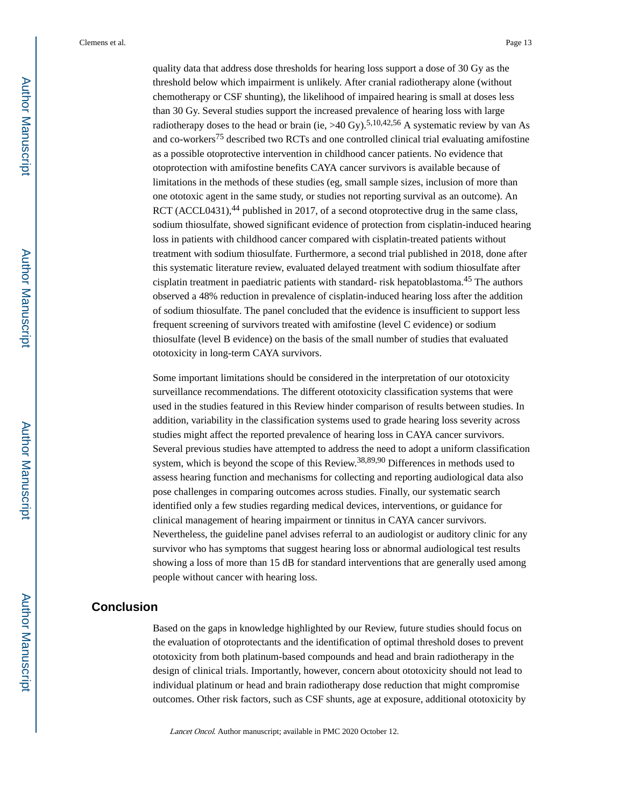quality data that address dose thresholds for hearing loss support a dose of 30 Gy as the threshold below which impairment is unlikely. After cranial radiotherapy alone (without chemotherapy or CSF shunting), the likelihood of impaired hearing is small at doses less than 30 Gy. Several studies support the increased prevalence of hearing loss with large radiotherapy doses to the head or brain (ie,  $>40$  Gy).<sup>5,10,42,56</sup> A systematic review by van As and co-workers75 described two RCTs and one controlled clinical trial evaluating amifostine as a possible otoprotective intervention in childhood cancer patients. No evidence that otoprotection with amifostine benefits CAYA cancer survivors is available because of limitations in the methods of these studies (eg, small sample sizes, inclusion of more than one ototoxic agent in the same study, or studies not reporting survival as an outcome). An RCT (ACCL0431),<sup>44</sup> published in 2017, of a second otoprotective drug in the same class, sodium thiosulfate, showed significant evidence of protection from cisplatin-induced hearing loss in patients with childhood cancer compared with cisplatin-treated patients without treatment with sodium thiosulfate. Furthermore, a second trial published in 2018, done after this systematic literature review, evaluated delayed treatment with sodium thiosulfate after cisplatin treatment in paediatric patients with standard- risk hepatoblastoma.45 The authors observed a 48% reduction in prevalence of cisplatin-induced hearing loss after the addition of sodium thiosulfate. The panel concluded that the evidence is insufficient to support less frequent screening of survivors treated with amifostine (level C evidence) or sodium thiosulfate (level B evidence) on the basis of the small number of studies that evaluated ototoxicity in long-term CAYA survivors.

Some important limitations should be considered in the interpretation of our ototoxicity surveillance recommendations. The different ototoxicity classification systems that were used in the studies featured in this Review hinder comparison of results between studies. In addition, variability in the classification systems used to grade hearing loss severity across studies might affect the reported prevalence of hearing loss in CAYA cancer survivors. Several previous studies have attempted to address the need to adopt a uniform classification system, which is beyond the scope of this Review.38,89,90 Differences in methods used to assess hearing function and mechanisms for collecting and reporting audiological data also pose challenges in comparing outcomes across studies. Finally, our systematic search identified only a few studies regarding medical devices, interventions, or guidance for clinical management of hearing impairment or tinnitus in CAYA cancer survivors. Nevertheless, the guideline panel advises referral to an audiologist or auditory clinic for any survivor who has symptoms that suggest hearing loss or abnormal audiological test results showing a loss of more than 15 dB for standard interventions that are generally used among people without cancer with hearing loss.

#### **Conclusion**

Based on the gaps in knowledge highlighted by our Review, future studies should focus on the evaluation of otoprotectants and the identification of optimal threshold doses to prevent ototoxicity from both platinum-based compounds and head and brain radiotherapy in the design of clinical trials. Importantly, however, concern about ototoxicity should not lead to individual platinum or head and brain radiotherapy dose reduction that might compromise outcomes. Other risk factors, such as CSF shunts, age at exposure, additional ototoxicity by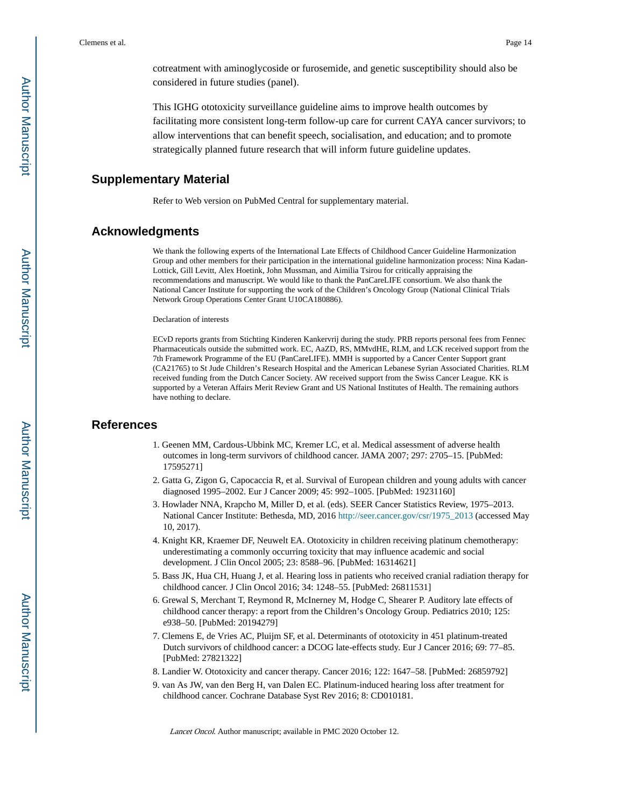cotreatment with aminoglycoside or furosemide, and genetic susceptibility should also be considered in future studies (panel).

This IGHG ototoxicity surveillance guideline aims to improve health outcomes by facilitating more consistent long-term follow-up care for current CAYA cancer survivors; to allow interventions that can benefit speech, socialisation, and education; and to promote strategically planned future research that will inform future guideline updates.

#### **Supplementary Material**

Refer to Web version on PubMed Central for supplementary material.

#### **Acknowledgments**

We thank the following experts of the International Late Effects of Childhood Cancer Guideline Harmonization Group and other members for their participation in the international guideline harmonization process: Nina Kadan-Lottick, Gill Levitt, Alex Hoetink, John Mussman, and Aimilia Tsirou for critically appraising the recommendations and manuscript. We would like to thank the PanCareLIFE consortium. We also thank the National Cancer Institute for supporting the work of the Children's Oncology Group (National Clinical Trials Network Group Operations Center Grant U10CA180886).

#### Declaration of interests

ECvD reports grants from Stichting Kinderen Kankervrij during the study. PRB reports personal fees from Fennec Pharmaceuticals outside the submitted work. EC, AaZD, RS, MMvdHE, RLM, and LCK received support from the 7th Framework Programme of the EU (PanCareLIFE). MMH is supported by a Cancer Center Support grant (CA21765) to St Jude Children's Research Hospital and the American Lebanese Syrian Associated Charities. RLM received funding from the Dutch Cancer Society. AW received support from the Swiss Cancer League. KK is supported by a Veteran Affairs Merit Review Grant and US National Institutes of Health. The remaining authors have nothing to declare.

#### **References**

- 1. Geenen MM, Cardous-Ubbink MC, Kremer LC, et al. Medical assessment of adverse health outcomes in long-term survivors of childhood cancer. JAMA 2007; 297: 2705–15. [PubMed: 17595271]
- 2. Gatta G, Zigon G, Capocaccia R, et al. Survival of European children and young adults with cancer diagnosed 1995–2002. Eur J Cancer 2009; 45: 992–1005. [PubMed: 19231160]
- 3. Howlader NNA, Krapcho M, Miller D, et al. (eds). SEER Cancer Statistics Review, 1975–2013. National Cancer Institute: Bethesda, MD, 2016 [http://seer.cancer.gov/csr/1975\\_2013](http://seer.cancer.gov/csr/1975_2013) (accessed May 10, 2017).
- 4. Knight KR, Kraemer DF, Neuwelt EA. Ototoxicity in children receiving platinum chemotherapy: underestimating a commonly occurring toxicity that may influence academic and social development. J Clin Oncol 2005; 23: 8588–96. [PubMed: 16314621]
- 5. Bass JK, Hua CH, Huang J, et al. Hearing loss in patients who received cranial radiation therapy for childhood cancer. J Clin Oncol 2016; 34: 1248–55. [PubMed: 26811531]
- 6. Grewal S, Merchant T, Reymond R, McInerney M, Hodge C, Shearer P. Auditory late effects of childhood cancer therapy: a report from the Children's Oncology Group. Pediatrics 2010; 125: e938–50. [PubMed: 20194279]
- 7. Clemens E, de Vries AC, Pluijm SF, et al. Determinants of ototoxicity in 451 platinum-treated Dutch survivors of childhood cancer: a DCOG late-effects study. Eur J Cancer 2016; 69: 77–85. [PubMed: 27821322]
- 8. Landier W. Ototoxicity and cancer therapy. Cancer 2016; 122: 1647–58. [PubMed: 26859792]
- 9. van As JW, van den Berg H, van Dalen EC. Platinum-induced hearing loss after treatment for childhood cancer. Cochrane Database Syst Rev 2016; 8: CD010181.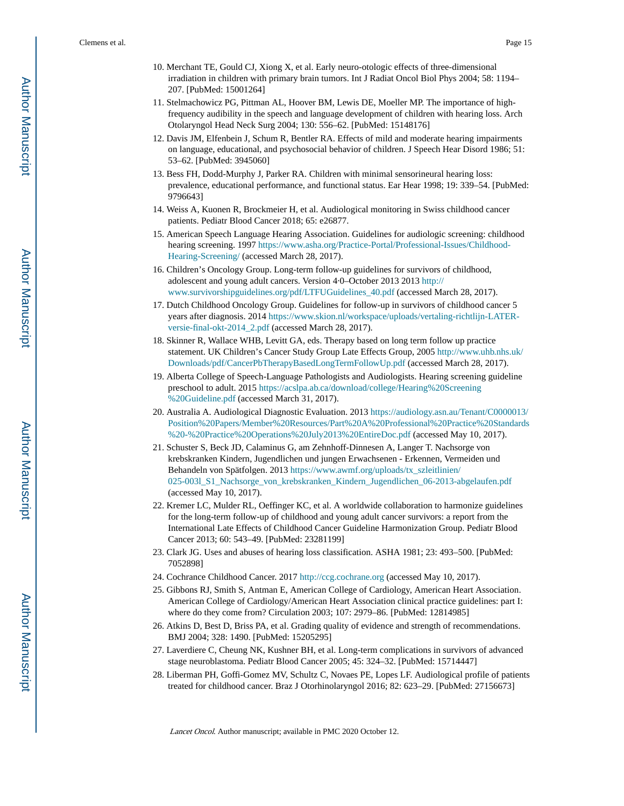- 10. Merchant TE, Gould CJ, Xiong X, et al. Early neuro-otologic effects of three-dimensional irradiation in children with primary brain tumors. Int J Radiat Oncol Biol Phys 2004; 58: 1194– 207. [PubMed: 15001264]
- 11. Stelmachowicz PG, Pittman AL, Hoover BM, Lewis DE, Moeller MP. The importance of highfrequency audibility in the speech and language development of children with hearing loss. Arch Otolaryngol Head Neck Surg 2004; 130: 556–62. [PubMed: 15148176]
- 12. Davis JM, Elfenbein J, Schum R, Bentler RA. Effects of mild and moderate hearing impairments on language, educational, and psychosocial behavior of children. J Speech Hear Disord 1986; 51: 53–62. [PubMed: 3945060]
- 13. Bess FH, Dodd-Murphy J, Parker RA. Children with minimal sensorineural hearing loss: prevalence, educational performance, and functional status. Ear Hear 1998; 19: 339–54. [PubMed: 9796643]
- 14. Weiss A, Kuonen R, Brockmeier H, et al. Audiological monitoring in Swiss childhood cancer patients. Pediatr Blood Cancer 2018; 65: e26877.
- 15. American Speech Language Hearing Association. Guidelines for audiologic screening: childhood hearing screening. 1997 [https://www.asha.org/Practice-Portal/Professional-Issues/Childhood-](https://www.asha.org/Practice-Portal/Professional-Issues/Childhood-Hearing-Screening/)[Hearing-Screening/](https://www.asha.org/Practice-Portal/Professional-Issues/Childhood-Hearing-Screening/) (accessed March 28, 2017).
- 16. Children's Oncology Group. Long-term follow-up guidelines for survivors of childhood, adolescent and young adult cancers. Version 4·0–October 2013 2013 [http://](http://www.survivorshipguidelines.org/pdf/LTFUGuidelines_40.pdf) [www.survivorshipguidelines.org/pdf/LTFUGuidelines\\_40.pdf](http://www.survivorshipguidelines.org/pdf/LTFUGuidelines_40.pdf) (accessed March 28, 2017).
- 17. Dutch Childhood Oncology Group. Guidelines for follow-up in survivors of childhood cancer 5 years after diagnosis. 2014 [https://www.skion.nl/workspace/uploads/vertaling-richtlijn-LATER](https://www.skion.nl/workspace/uploads/vertaling-richtlijn-LATER-versie-final-okt-2014_2.pdf)[versie-final-okt-2014\\_2.pdf](https://www.skion.nl/workspace/uploads/vertaling-richtlijn-LATER-versie-final-okt-2014_2.pdf) (accessed March 28, 2017).
- 18. Skinner R, Wallace WHB, Levitt GA, eds. Therapy based on long term follow up practice statement. UK Children's Cancer Study Group Late Effects Group, 2005 [http://www.uhb.nhs.uk/](http://www.uhb.nhs.uk/Downloads/pdf/CancerPbTherapyBasedLongTermFollowUp.pdf) [Downloads/pdf/CancerPbTherapyBasedLongTermFollowUp.pdf](http://www.uhb.nhs.uk/Downloads/pdf/CancerPbTherapyBasedLongTermFollowUp.pdf) (accessed March 28, 2017).
- 19. Alberta College of Speech-Language Pathologists and Audiologists. Hearing screening guideline preschool to adult. 2015 [https://acslpa.ab.ca/download/college/Hearing%20Screening](https://acslpa.ab.ca/download/college/Hearing%20Screening%20Guideline.pdf) [%20Guideline.pdf](https://acslpa.ab.ca/download/college/Hearing%20Screening%20Guideline.pdf) (accessed March 31, 2017).
- 20. Australia A. Audiological Diagnostic Evaluation. 2013 [https://audiology.asn.au/Tenant/C0000013/](https://audiology.asn.au/Tenant/C0000013/Position%20Papers/Member%20Resources/Part%20A%20Professional%20Practice%20Standards%20-%20Practice%20Operations%20July2013%20EntireDoc.pdf) [Position%20Papers/Member%20Resources/Part%20A%20Professional%20Practice%20Standards](https://audiology.asn.au/Tenant/C0000013/Position%20Papers/Member%20Resources/Part%20A%20Professional%20Practice%20Standards%20-%20Practice%20Operations%20July2013%20EntireDoc.pdf) [%20-%20Practice%20Operations%20July2013%20EntireDoc.pdf](https://audiology.asn.au/Tenant/C0000013/Position%20Papers/Member%20Resources/Part%20A%20Professional%20Practice%20Standards%20-%20Practice%20Operations%20July2013%20EntireDoc.pdf) (accessed May 10, 2017).
- 21. Schuster S, Beck JD, Calaminus G, am Zehnhoff-Dinnesen A, Langer T. Nachsorge von krebskranken Kindern, Jugendlichen und jungen Erwachsenen - Erkennen, Vermeiden und Behandeln von Spätfolgen. 2013 [https://www.awmf.org/uploads/tx\\_szleitlinien/](https://www.awmf.org/uploads/tx_szleitlinien/025-003l_S1_Nachsorge_von_krebskranken_Kindern_Jugendlichen_06-2013-abgelaufen.pdf) [025-003l\\_S1\\_Nachsorge\\_von\\_krebskranken\\_Kindern\\_Jugendlichen\\_06-2013-abgelaufen.pdf](https://www.awmf.org/uploads/tx_szleitlinien/025-003l_S1_Nachsorge_von_krebskranken_Kindern_Jugendlichen_06-2013-abgelaufen.pdf) (accessed May 10, 2017).
- 22. Kremer LC, Mulder RL, Oeffinger KC, et al. A worldwide collaboration to harmonize guidelines for the long-term follow-up of childhood and young adult cancer survivors: a report from the International Late Effects of Childhood Cancer Guideline Harmonization Group. Pediatr Blood Cancer 2013; 60: 543–49. [PubMed: 23281199]
- 23. Clark JG. Uses and abuses of hearing loss classification. ASHA 1981; 23: 493–500. [PubMed: 7052898]
- 24. Cochrance Childhood Cancer. 2017<http://ccg.cochrane.org> (accessed May 10, 2017).
- 25. Gibbons RJ, Smith S, Antman E, American College of Cardiology, American Heart Association. American College of Cardiology/American Heart Association clinical practice guidelines: part I: where do they come from? Circulation 2003; 107: 2979–86. [PubMed: 12814985]
- 26. Atkins D, Best D, Briss PA, et al. Grading quality of evidence and strength of recommendations. BMJ 2004; 328: 1490. [PubMed: 15205295]
- 27. Laverdiere C, Cheung NK, Kushner BH, et al. Long-term complications in survivors of advanced stage neuroblastoma. Pediatr Blood Cancer 2005; 45: 324–32. [PubMed: 15714447]
- 28. Liberman PH, Goffi-Gomez MV, Schultz C, Novaes PE, Lopes LF. Audiological profile of patients treated for childhood cancer. Braz J Otorhinolaryngol 2016; 82: 623–29. [PubMed: 27156673]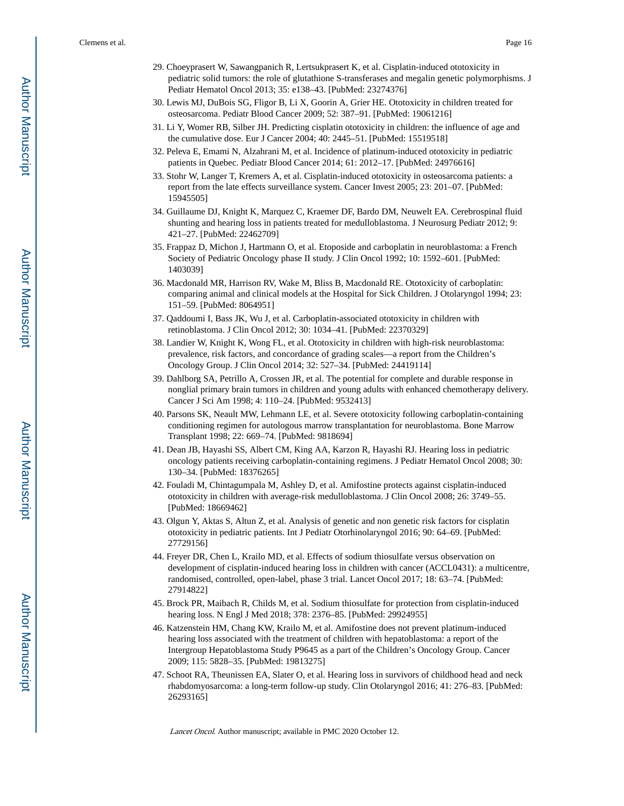- 29. Choeyprasert W, Sawangpanich R, Lertsukprasert K, et al. Cisplatin-induced ototoxicity in pediatric solid tumors: the role of glutathione S-transferases and megalin genetic polymorphisms. J Pediatr Hematol Oncol 2013; 35: e138–43. [PubMed: 23274376]
- 30. Lewis MJ, DuBois SG, Fligor B, Li X, Goorin A, Grier HE. Ototoxicity in children treated for osteosarcoma. Pediatr Blood Cancer 2009; 52: 387–91. [PubMed: 19061216]
- 31. Li Y, Womer RB, Silber JH. Predicting cisplatin ototoxicity in children: the influence of age and the cumulative dose. Eur J Cancer 2004; 40: 2445–51. [PubMed: 15519518]
- 32. Peleva E, Emami N, Alzahrani M, et al. Incidence of platinum-induced ototoxicity in pediatric patients in Quebec. Pediatr Blood Cancer 2014; 61: 2012–17. [PubMed: 24976616]
- 33. Stohr W, Langer T, Kremers A, et al. Cisplatin-induced ototoxicity in osteosarcoma patients: a report from the late effects surveillance system. Cancer Invest 2005; 23: 201–07. [PubMed: 15945505]
- 34. Guillaume DJ, Knight K, Marquez C, Kraemer DF, Bardo DM, Neuwelt EA. Cerebrospinal fluid shunting and hearing loss in patients treated for medulloblastoma. J Neurosurg Pediatr 2012; 9: 421–27. [PubMed: 22462709]
- 35. Frappaz D, Michon J, Hartmann O, et al. Etoposide and carboplatin in neuroblastoma: a French Society of Pediatric Oncology phase II study. J Clin Oncol 1992; 10: 1592–601. [PubMed: 1403039]
- 36. Macdonald MR, Harrison RV, Wake M, Bliss B, Macdonald RE. Ototoxicity of carboplatin: comparing animal and clinical models at the Hospital for Sick Children. J Otolaryngol 1994; 23: 151–59. [PubMed: 8064951]
- 37. Qaddoumi I, Bass JK, Wu J, et al. Carboplatin-associated ototoxicity in children with retinoblastoma. J Clin Oncol 2012; 30: 1034–41. [PubMed: 22370329]
- 38. Landier W, Knight K, Wong FL, et al. Ototoxicity in children with high-risk neuroblastoma: prevalence, risk factors, and concordance of grading scales—a report from the Children's Oncology Group. J Clin Oncol 2014; 32: 527–34. [PubMed: 24419114]
- 39. Dahlborg SA, Petrillo A, Crossen JR, et al. The potential for complete and durable response in nonglial primary brain tumors in children and young adults with enhanced chemotherapy delivery. Cancer J Sci Am 1998; 4: 110–24. [PubMed: 9532413]
- 40. Parsons SK, Neault MW, Lehmann LE, et al. Severe ototoxicity following carboplatin-containing conditioning regimen for autologous marrow transplantation for neuroblastoma. Bone Marrow Transplant 1998; 22: 669–74. [PubMed: 9818694]
- 41. Dean JB, Hayashi SS, Albert CM, King AA, Karzon R, Hayashi RJ. Hearing loss in pediatric oncology patients receiving carboplatin-containing regimens. J Pediatr Hematol Oncol 2008; 30: 130–34. [PubMed: 18376265]
- 42. Fouladi M, Chintagumpala M, Ashley D, et al. Amifostine protects against cisplatin-induced ototoxicity in children with average-risk medulloblastoma. J Clin Oncol 2008; 26: 3749–55. [PubMed: 18669462]
- 43. Olgun Y, Aktas S, Altun Z, et al. Analysis of genetic and non genetic risk factors for cisplatin ototoxicity in pediatric patients. Int J Pediatr Otorhinolaryngol 2016; 90: 64–69. [PubMed: 27729156]
- 44. Freyer DR, Chen L, Krailo MD, et al. Effects of sodium thiosulfate versus observation on development of cisplatin-induced hearing loss in children with cancer (ACCL0431): a multicentre, randomised, controlled, open-label, phase 3 trial. Lancet Oncol 2017; 18: 63–74. [PubMed: 27914822]
- 45. Brock PR, Maibach R, Childs M, et al. Sodium thiosulfate for protection from cisplatin-induced hearing loss. N Engl J Med 2018; 378: 2376–85. [PubMed: 29924955]
- 46. Katzenstein HM, Chang KW, Krailo M, et al. Amifostine does not prevent platinum-induced hearing loss associated with the treatment of children with hepatoblastoma: a report of the Intergroup Hepatoblastoma Study P9645 as a part of the Children's Oncology Group. Cancer 2009; 115: 5828–35. [PubMed: 19813275]
- 47. Schoot RA, Theunissen EA, Slater O, et al. Hearing loss in survivors of childhood head and neck rhabdomyosarcoma: a long-term follow-up study. Clin Otolaryngol 2016; 41: 276–83. [PubMed: 26293165]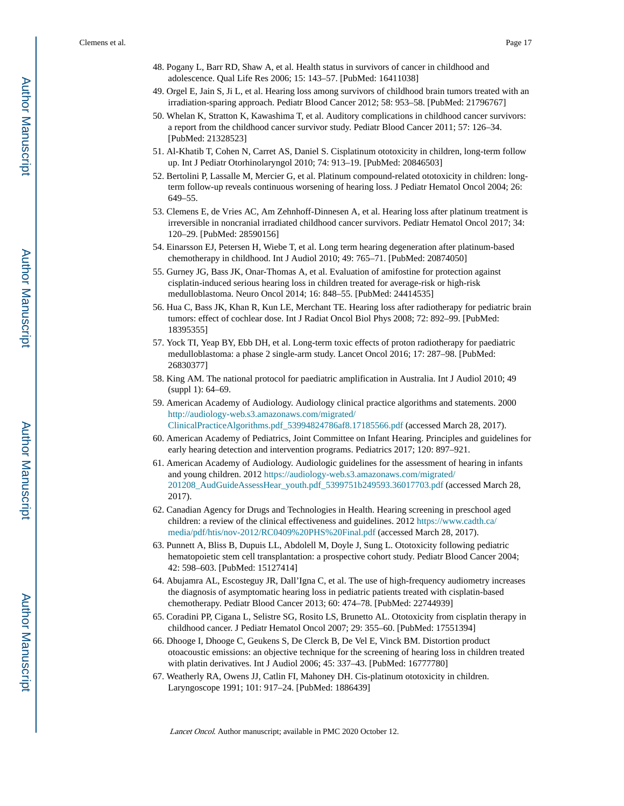- 48. Pogany L, Barr RD, Shaw A, et al. Health status in survivors of cancer in childhood and adolescence. Qual Life Res 2006; 15: 143–57. [PubMed: 16411038]
- 49. Orgel E, Jain S, Ji L, et al. Hearing loss among survivors of childhood brain tumors treated with an irradiation-sparing approach. Pediatr Blood Cancer 2012; 58: 953–58. [PubMed: 21796767]
- 50. Whelan K, Stratton K, Kawashima T, et al. Auditory complications in childhood cancer survivors: a report from the childhood cancer survivor study. Pediatr Blood Cancer 2011; 57: 126–34. [PubMed: 21328523]
- 51. Al-Khatib T, Cohen N, Carret AS, Daniel S. Cisplatinum ototoxicity in children, long-term follow up. Int J Pediatr Otorhinolaryngol 2010; 74: 913–19. [PubMed: 20846503]
- 52. Bertolini P, Lassalle M, Mercier G, et al. Platinum compound-related ototoxicity in children: longterm follow-up reveals continuous worsening of hearing loss. J Pediatr Hematol Oncol 2004; 26: 649–55.
- 53. Clemens E, de Vries AC, Am Zehnhoff-Dinnesen A, et al. Hearing loss after platinum treatment is irreversible in noncranial irradiated childhood cancer survivors. Pediatr Hematol Oncol 2017; 34: 120–29. [PubMed: 28590156]
- 54. Einarsson EJ, Petersen H, Wiebe T, et al. Long term hearing degeneration after platinum-based chemotherapy in childhood. Int J Audiol 2010; 49: 765–71. [PubMed: 20874050]
- 55. Gurney JG, Bass JK, Onar-Thomas A, et al. Evaluation of amifostine for protection against cisplatin-induced serious hearing loss in children treated for average-risk or high-risk medulloblastoma. Neuro Oncol 2014; 16: 848–55. [PubMed: 24414535]
- 56. Hua C, Bass JK, Khan R, Kun LE, Merchant TE. Hearing loss after radiotherapy for pediatric brain tumors: effect of cochlear dose. Int J Radiat Oncol Biol Phys 2008; 72: 892–99. [PubMed: 18395355]
- 57. Yock TI, Yeap BY, Ebb DH, et al. Long-term toxic effects of proton radiotherapy for paediatric medulloblastoma: a phase 2 single-arm study. Lancet Oncol 2016; 17: 287–98. [PubMed: 26830377]
- 58. King AM. The national protocol for paediatric amplification in Australia. Int J Audiol 2010; 49 (suppl 1): 64–69.
- 59. American Academy of Audiology. Audiology clinical practice algorithms and statements. 2000 [http://audiology-web.s3.amazonaws.com/migrated/](http://audiology-web.s3.amazonaws.com/migrated/ClinicalPracticeAlgorithms.pdf_53994824786af8.17185566.pdf) [ClinicalPracticeAlgorithms.pdf\\_53994824786af8.17185566.pdf](http://audiology-web.s3.amazonaws.com/migrated/ClinicalPracticeAlgorithms.pdf_53994824786af8.17185566.pdf) (accessed March 28, 2017).
- 60. American Academy of Pediatrics, Joint Committee on Infant Hearing. Principles and guidelines for early hearing detection and intervention programs. Pediatrics 2017; 120: 897–921.
- 61. American Academy of Audiology. Audiologic guidelines for the assessment of hearing in infants and young children. 2012 [https://audiology-web.s3.amazonaws.com/migrated/](https://audiology-web.s3.amazonaws.com/migrated/201208_AudGuideAssessHear_youth.pdf_5399751b249593.36017703.pdf) [201208\\_AudGuideAssessHear\\_youth.pdf\\_5399751b249593.36017703.pdf](https://audiology-web.s3.amazonaws.com/migrated/201208_AudGuideAssessHear_youth.pdf_5399751b249593.36017703.pdf) (accessed March 28, 2017).
- 62. Canadian Agency for Drugs and Technologies in Health. Hearing screening in preschool aged children: a review of the clinical effectiveness and guidelines. 2012 [https://www.cadth.ca/](https://www.cadth.ca/media/pdf/htis/nov-2012/RC0409%20PHS%20Final.pdf) [media/pdf/htis/nov-2012/RC0409%20PHS%20Final.pdf](https://www.cadth.ca/media/pdf/htis/nov-2012/RC0409%20PHS%20Final.pdf) (accessed March 28, 2017).
- 63. Punnett A, Bliss B, Dupuis LL, Abdolell M, Doyle J, Sung L. Ototoxicity following pediatric hematopoietic stem cell transplantation: a prospective cohort study. Pediatr Blood Cancer 2004; 42: 598–603. [PubMed: 15127414]
- 64. Abujamra AL, Escosteguy JR, Dall'Igna C, et al. The use of high-frequency audiometry increases the diagnosis of asymptomatic hearing loss in pediatric patients treated with cisplatin-based chemotherapy. Pediatr Blood Cancer 2013; 60: 474–78. [PubMed: 22744939]
- 65. Coradini PP, Cigana L, Selistre SG, Rosito LS, Brunetto AL. Ototoxicity from cisplatin therapy in childhood cancer. J Pediatr Hematol Oncol 2007; 29: 355–60. [PubMed: 17551394]
- 66. Dhooge I, Dhooge C, Geukens S, De Clerck B, De Vel E, Vinck BM. Distortion product otoacoustic emissions: an objective technique for the screening of hearing loss in children treated with platin derivatives. Int J Audiol 2006; 45: 337–43. [PubMed: 16777780]
- 67. Weatherly RA, Owens JJ, Catlin FI, Mahoney DH. Cis-platinum ototoxicity in children. Laryngoscope 1991; 101: 917–24. [PubMed: 1886439]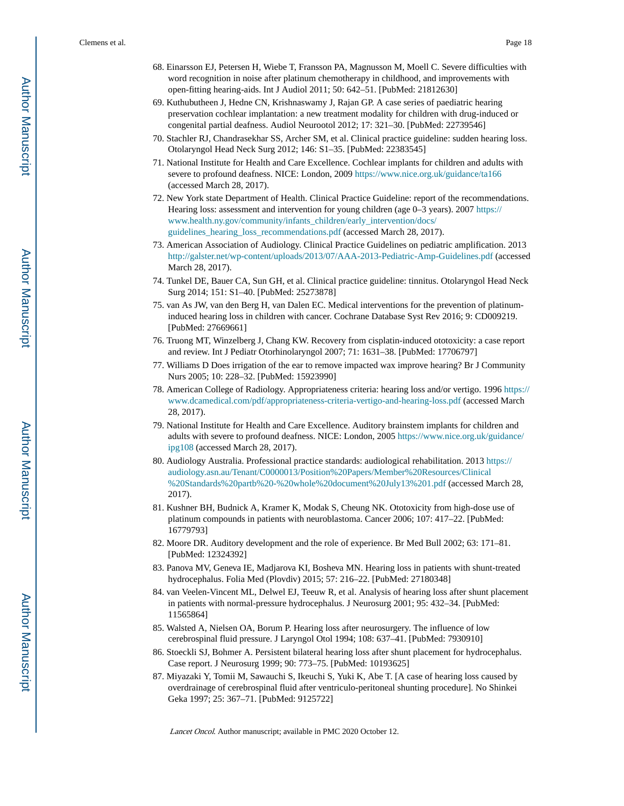- 68. Einarsson EJ, Petersen H, Wiebe T, Fransson PA, Magnusson M, Moell C. Severe difficulties with word recognition in noise after platinum chemotherapy in childhood, and improvements with open-fitting hearing-aids. Int J Audiol 2011; 50: 642–51. [PubMed: 21812630]
- 69. Kuthubutheen J, Hedne CN, Krishnaswamy J, Rajan GP. A case series of paediatric hearing preservation cochlear implantation: a new treatment modality for children with drug-induced or congenital partial deafness. Audiol Neurootol 2012; 17: 321–30. [PubMed: 22739546]
- 70. Stachler RJ, Chandrasekhar SS, Archer SM, et al. Clinical practice guideline: sudden hearing loss. Otolaryngol Head Neck Surg 2012; 146: S1–35. [PubMed: 22383545]
- 71. National Institute for Health and Care Excellence. Cochlear implants for children and adults with severe to profound deafness. NICE: London, 2009<https://www.nice.org.uk/guidance/ta166> (accessed March 28, 2017).
- 72. New York state Department of Health. Clinical Practice Guideline: report of the recommendations. Hearing loss: assessment and intervention for young children (age 0–3 years). 2007 [https://](https://www.health.ny.gov/community/infants_children/early_intervention/docs/guidelines_hearing_loss_recommendations.pdf) [www.health.ny.gov/community/infants\\_children/early\\_intervention/docs/](https://www.health.ny.gov/community/infants_children/early_intervention/docs/guidelines_hearing_loss_recommendations.pdf) [guidelines\\_hearing\\_loss\\_recommendations.pdf](https://www.health.ny.gov/community/infants_children/early_intervention/docs/guidelines_hearing_loss_recommendations.pdf) (accessed March 28, 2017).
- 73. American Association of Audiology. Clinical Practice Guidelines on pediatric amplification. 2013 <http://galster.net/wp-content/uploads/2013/07/AAA-2013-Pediatric-Amp-Guidelines.pdf>(accessed March 28, 2017).
- 74. Tunkel DE, Bauer CA, Sun GH, et al. Clinical practice guideline: tinnitus. Otolaryngol Head Neck Surg 2014; 151: S1–40. [PubMed: 25273878]
- 75. van As JW, van den Berg H, van Dalen EC. Medical interventions for the prevention of platinuminduced hearing loss in children with cancer. Cochrane Database Syst Rev 2016; 9: CD009219. [PubMed: 27669661]
- 76. Truong MT, Winzelberg J, Chang KW. Recovery from cisplatin-induced ototoxicity: a case report and review. Int J Pediatr Otorhinolaryngol 2007; 71: 1631–38. [PubMed: 17706797]
- 77. Williams D Does irrigation of the ear to remove impacted wax improve hearing? Br J Community Nurs 2005; 10: 228–32. [PubMed: 15923990]
- 78. American College of Radiology. Appropriateness criteria: hearing loss and/or vertigo. 1996 [https://](https://www.dcamedical.com/pdf/appropriateness-criteria-vertigo-and-hearing-loss.pdf) [www.dcamedical.com/pdf/appropriateness-criteria-vertigo-and-hearing-loss.pdf](https://www.dcamedical.com/pdf/appropriateness-criteria-vertigo-and-hearing-loss.pdf) (accessed March 28, 2017).
- 79. National Institute for Health and Care Excellence. Auditory brainstem implants for children and adults with severe to profound deafness. NICE: London, 2005 [https://www.nice.org.uk/guidance/](https://www.nice.org.uk/guidance/ipg108) [ipg108](https://www.nice.org.uk/guidance/ipg108) (accessed March 28, 2017).
- 80. Audiology Australia. Professional practice standards: audiological rehabilitation. 2013 [https://](https://audiology.asn.au/Tenant/C0000013/Position%20Papers/Member%20Resources/Clinical%20Standards%20partb%20-%20whole%20document%20July13%201.pdf) [audiology.asn.au/Tenant/C0000013/Position%20Papers/Member%20Resources/Clinical](https://audiology.asn.au/Tenant/C0000013/Position%20Papers/Member%20Resources/Clinical%20Standards%20partb%20-%20whole%20document%20July13%201.pdf) [%20Standards%20partb%20-%20whole%20document%20July13%201.pdf](https://audiology.asn.au/Tenant/C0000013/Position%20Papers/Member%20Resources/Clinical%20Standards%20partb%20-%20whole%20document%20July13%201.pdf) (accessed March 28, 2017).
- 81. Kushner BH, Budnick A, Kramer K, Modak S, Cheung NK. Ototoxicity from high-dose use of platinum compounds in patients with neuroblastoma. Cancer 2006; 107: 417–22. [PubMed: 16779793]
- 82. Moore DR. Auditory development and the role of experience. Br Med Bull 2002; 63: 171–81. [PubMed: 12324392]
- 83. Panova MV, Geneva IE, Madjarova KI, Bosheva MN. Hearing loss in patients with shunt-treated hydrocephalus. Folia Med (Plovdiv) 2015; 57: 216–22. [PubMed: 27180348]
- 84. van Veelen-Vincent ML, Delwel EJ, Teeuw R, et al. Analysis of hearing loss after shunt placement in patients with normal-pressure hydrocephalus. J Neurosurg 2001; 95: 432–34. [PubMed: 11565864]
- 85. Walsted A, Nielsen OA, Borum P. Hearing loss after neurosurgery. The influence of low cerebrospinal fluid pressure. J Laryngol Otol 1994; 108: 637–41. [PubMed: 7930910]
- 86. Stoeckli SJ, Bohmer A. Persistent bilateral hearing loss after shunt placement for hydrocephalus. Case report. J Neurosurg 1999; 90: 773–75. [PubMed: 10193625]
- 87. Miyazaki Y, Tomii M, Sawauchi S, Ikeuchi S, Yuki K, Abe T. [A case of hearing loss caused by overdrainage of cerebrospinal fluid after ventriculo-peritoneal shunting procedure]. No Shinkei Geka 1997; 25: 367–71. [PubMed: 9125722]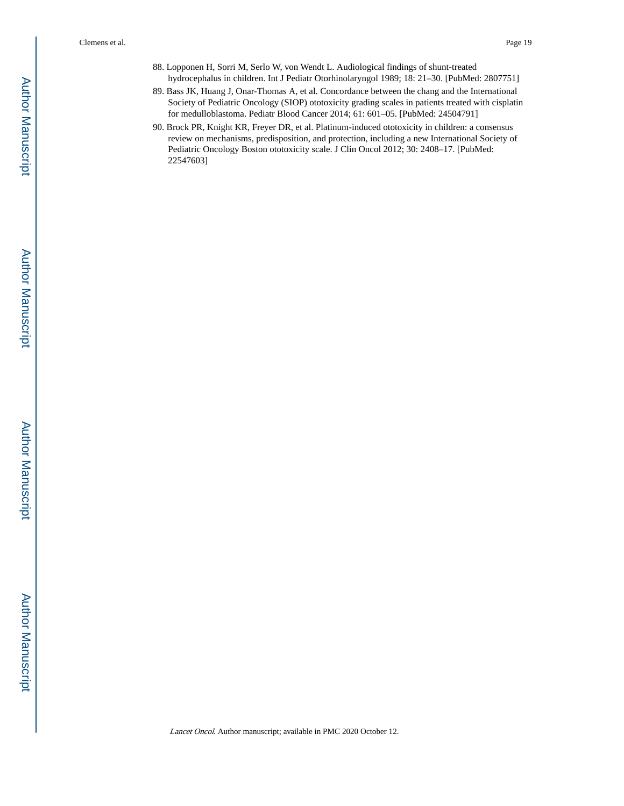- 88. Lopponen H, Sorri M, Serlo W, von Wendt L. Audiological findings of shunt-treated hydrocephalus in children. Int J Pediatr Otorhinolaryngol 1989; 18: 21–30. [PubMed: 2807751]
- 89. Bass JK, Huang J, Onar-Thomas A, et al. Concordance between the chang and the International Society of Pediatric Oncology (SIOP) ototoxicity grading scales in patients treated with cisplatin for medulloblastoma. Pediatr Blood Cancer 2014; 61: 601–05. [PubMed: 24504791]
- 90. Brock PR, Knight KR, Freyer DR, et al. Platinum-induced ototoxicity in children: a consensus review on mechanisms, predisposition, and protection, including a new International Society of Pediatric Oncology Boston ototoxicity scale. J Clin Oncol 2012; 30: 2408–17. [PubMed: 22547603]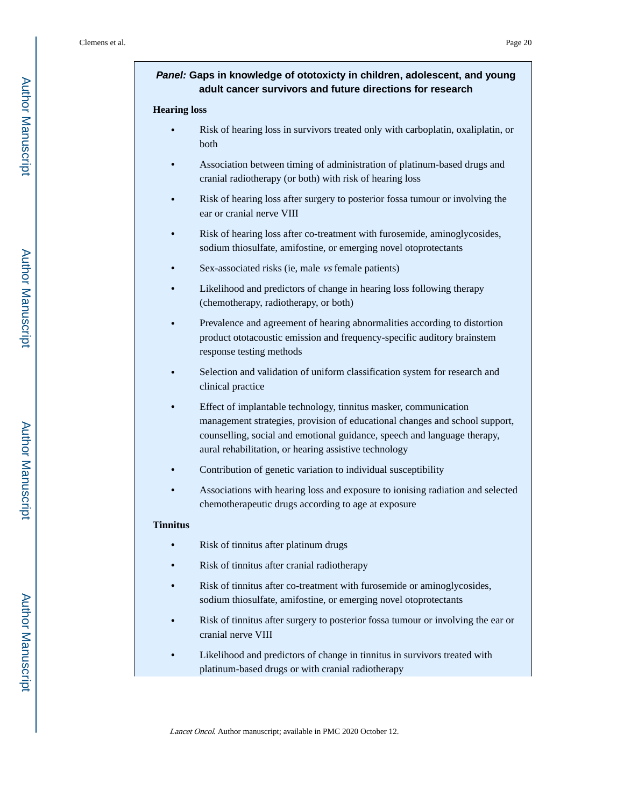#### **Panel: Gaps in knowledge of ototoxicty in children, adolescent, and young adult cancer survivors and future directions for research**

#### **Hearing loss**

- **•** Risk of hearing loss in survivors treated only with carboplatin, oxaliplatin, or both
- **•** Association between timing of administration of platinum-based drugs and cranial radiotherapy (or both) with risk of hearing loss
- **•** Risk of hearing loss after surgery to posterior fossa tumour or involving the ear or cranial nerve VIII
- **•** Risk of hearing loss after co-treatment with furosemide, aminoglycosides, sodium thiosulfate, amifostine, or emerging novel otoprotectants
- Sex-associated risks (ie, male *vs* female patients)
- **•** Likelihood and predictors of change in hearing loss following therapy (chemotherapy, radiotherapy, or both)
- **•** Prevalence and agreement of hearing abnormalities according to distortion product ototacoustic emission and frequency-specific auditory brainstem response testing methods
- **•** Selection and validation of uniform classification system for research and clinical practice
- **•** Effect of implantable technology, tinnitus masker, communication management strategies, provision of educational changes and school support, counselling, social and emotional guidance, speech and language therapy, aural rehabilitation, or hearing assistive technology
- **•** Contribution of genetic variation to individual susceptibility
- **•** Associations with hearing loss and exposure to ionising radiation and selected chemotherapeutic drugs according to age at exposure

#### **Tinnitus**

- **•** Risk of tinnitus after platinum drugs
- **•** Risk of tinnitus after cranial radiotherapy
- **•** Risk of tinnitus after co-treatment with furosemide or aminoglycosides, sodium thiosulfate, amifostine, or emerging novel otoprotectants
- **•** Risk of tinnitus after surgery to posterior fossa tumour or involving the ear or cranial nerve VIII
- **•** Likelihood and predictors of change in tinnitus in survivors treated with platinum-based drugs or with cranial radiotherapy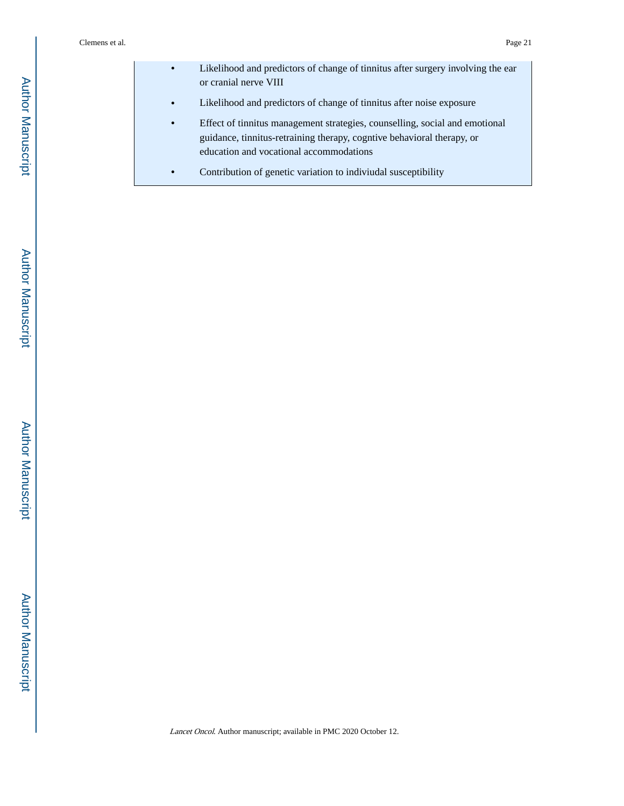| Likelihood and predictors of change of tinnitus after surgery involving the ear |
|---------------------------------------------------------------------------------|
| or cranial nerve VIII                                                           |
| Likelihood and predictors of change of tinnitus after noise exposure            |

- **•** Effect of tinnitus management strategies, counselling, social and emotional guidance, tinnitus-retraining therapy, cogntive behavioral therapy, or education and vocational accommodations
- **•** Contribution of genetic variation to indiviudal susceptibility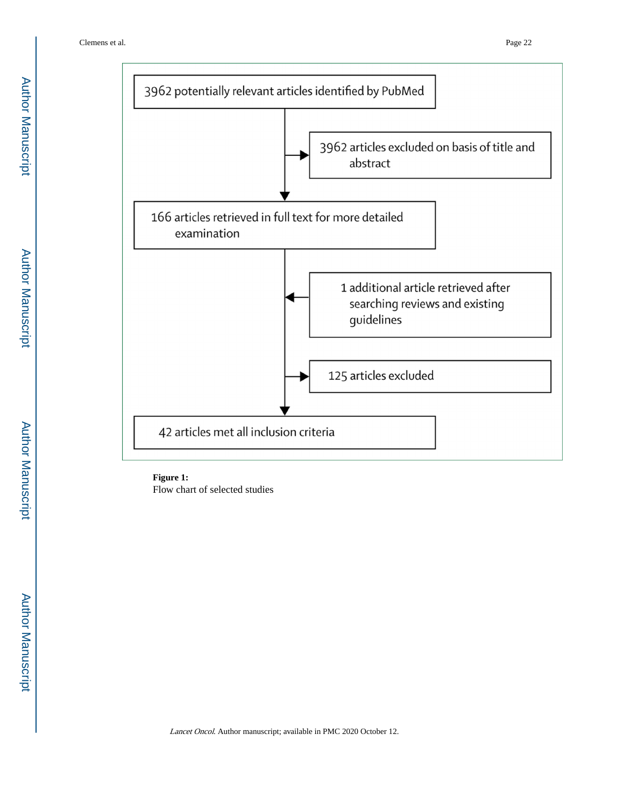Clemens et al. Page 22



#### **Figure 1:**

Flow chart of selected studies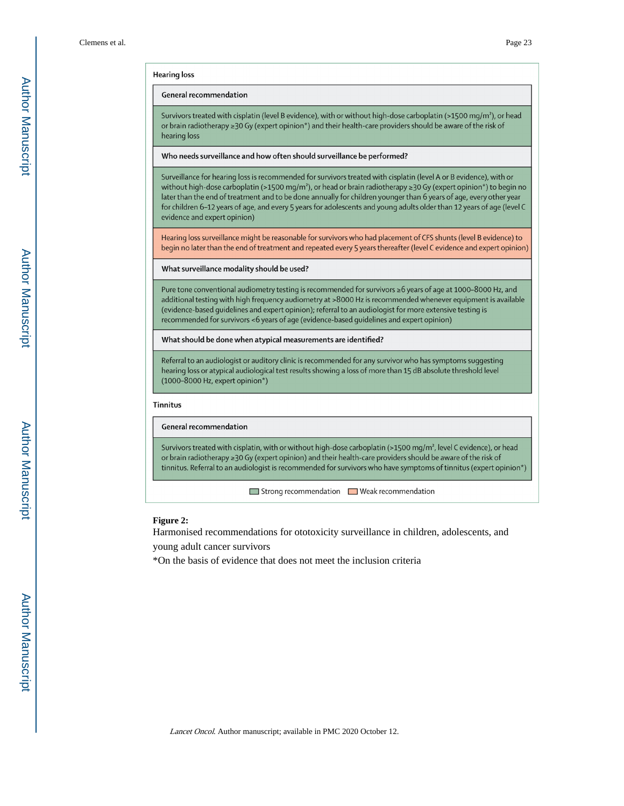# Author Manuscript Author Manuscript

 Author ManuscriptAuthor Manuscript **Hearing loss** 

**General recommendation** 

Survivors treated with cisplatin (level B evidence), with or without high-dose carboplatin (>1500 mg/m<sup>2</sup>), or head or brain radiotherapy  $\geq$  30 Gy (expert opinion\*) and their health-care providers should be aware of the risk of hearing loss

Who needs surveillance and how often should surveillance be performed?

Surveillance for hearing loss is recommended for survivors treated with cisplatin (level A or B evidence), with or without high-dose carboplatin (>1500 mg/m<sup>2</sup>), or head or brain radiotherapy ≥30 Gy (expert opinion\*) to begin no later than the end of treatment and to be done annually for children younger than 6 years of age, every other year for children 6-12 years of age, and every 5 years for adolescents and young adults older than 12 years of age (level C evidence and expert opinion)

Hearing loss surveillance might be reasonable for survivors who had placement of CFS shunts (level B evidence) to begin no later than the end of treatment and repeated every 5 years thereafter (level C evidence and expert opinion)

What surveillance modality should be used?

Pure tone conventional audiometry testing is recommended for survivors ≥6 years of age at 1000-8000 Hz, and additional testing with high frequency audiometry at >8000 Hz is recommended whenever equipment is available (evidence-based quidelines and expert opinion); referral to an audiologist for more extensive testing is recommended for survivors <6 years of age (evidence-based guidelines and expert opinion)

What should be done when atypical measurements are identified?

Referral to an audiologist or auditory clinic is recommended for any survivor who has symptoms suggesting hearing loss or atypical audiological test results showing a loss of more than 15 dB absolute threshold level (1000-8000 Hz, expert opinion\*)

Tinnitus

General recommendation

Survivors treated with cisplatin, with or without high-dose carboplatin (>1500 mg/m<sup>2</sup>, level C evidence), or head or brain radiotherapy ≥30 Gy (expert opinion) and their health-care providers should be aware of the risk of tinnitus. Referral to an audiologist is recommended for survivors who have symptoms of tinnitus (expert opinion\*)

Strong recommendation **I** Weak recommendation

#### **Figure 2:**

Harmonised recommendations for ototoxicity surveillance in children, adolescents, and young adult cancer survivors

\*On the basis of evidence that does not meet the inclusion criteria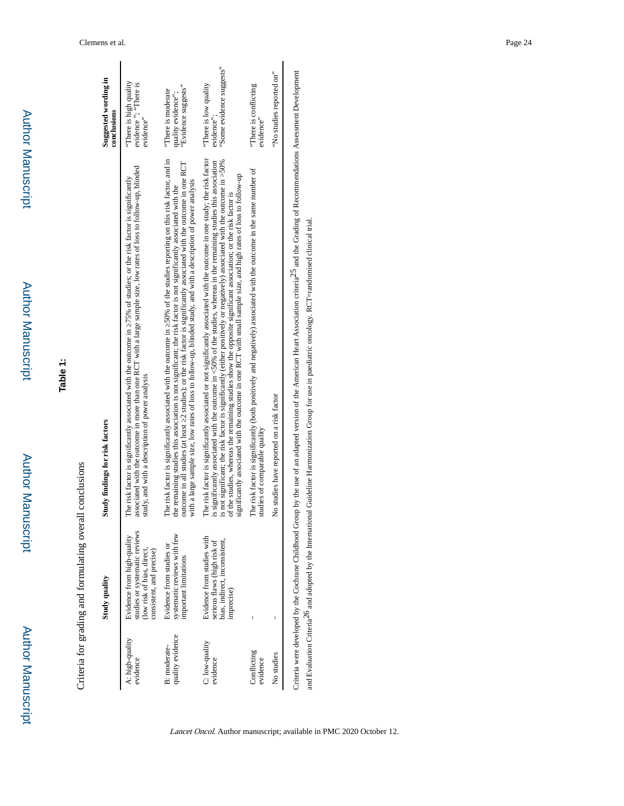| į<br><u>:</u><br>ק |  |
|--------------------|--|
| יי האסטיי ה        |  |

Author Manuscript

**Author Manuscript** 

**Table 1:**

Criteria for grading and formulating overall conclusions Criteria for grading and formulating overall conclusions

|                                  | Study quality                                                                                                        | Study findings for risk factors                                                                                                                                                                                                                                                                                                                                                                                                                                                                                                                                                                                            | Suggested wording in<br>conclusions                                      |
|----------------------------------|----------------------------------------------------------------------------------------------------------------------|----------------------------------------------------------------------------------------------------------------------------------------------------------------------------------------------------------------------------------------------------------------------------------------------------------------------------------------------------------------------------------------------------------------------------------------------------------------------------------------------------------------------------------------------------------------------------------------------------------------------------|--------------------------------------------------------------------------|
| A: high-quality<br>evidence      | studies or systematic reviews<br>Evidence from high-quality<br>(low risk of bias, direct<br>consistent, and precise) | associated with the outcome in more than one RCT with a large sample size, low rates of loss to follow-up, blinded<br>The risk factor is significantly associated with the outcome in $75\%$ of studies; or the risk factor is significantly<br>study, and with a description of power analysis                                                                                                                                                                                                                                                                                                                            | "There is high quality"<br>evidence"; "There is<br>evidence <sup>3</sup> |
| quality evidence<br>B: moderate- | systematic reviews with few<br>important limitations<br>Evidence from studies or                                     | The risk factor is significantly associated with the outcome in 50% of the studies reporting on this risk factor, and in<br>putcome in all studies (at least $\sim$ 2 studies); or the risk factor is significantly associated with the outcome in one RCT<br>with a large sample size, low rates of loss to follow-up, blinded study, and with a description of power analysis<br>the remaining studies this association is not significant; the risk factor is not significantly associated with the                                                                                                                     | "Evidence suggests"<br>"There is moderate<br>quality evidence";          |
| C: low-quality<br>evidence       | Evidence from studies with<br>bias, indirect, inconsistent,<br>serious flaws (high risk of<br>imprecise)             | The risk factor is significantly associated or not significantly associated with the outcome in one study; the risk factor<br>is not significant; the risk factor is significantly (either positively or negatively) associated with the outcome in >50%<br>is significantly associated with the outcome in $<$ 50% of the studies, whereas in the remaining studies this association<br>ignificantly associated with the outcome in one RCT with small sample size, and high rates of loss to follow-up<br>of the studies, whereas the remaining studies show the opposite significant association; or the risk factor is | "Some evidence suggests"<br>"There is low quality<br>evidence":          |
| Conflicting<br>evidence          |                                                                                                                      | The risk factor is significantly (both positively and negatively) associated with the outcome in the same number of<br>studies of comparable quality                                                                                                                                                                                                                                                                                                                                                                                                                                                                       | "There is conflicting<br>evidence"                                       |
| No studies                       |                                                                                                                      | No studies have reported on a risk factor                                                                                                                                                                                                                                                                                                                                                                                                                                                                                                                                                                                  | "No studies reported on"                                                 |
|                                  |                                                                                                                      | Criteria were developed by the Cochrane Childhood Group by the use of an adapted version of the American Heart Association criteria <sup>25</sup> and the Grading of Recommendations Assessment Development<br>and Evaluation Criteria <sup>26</sup> and adopted by the International Guideline Harmonization Group for use in paediatric oncology. RCT=randomised clinical trial.                                                                                                                                                                                                                                         |                                                                          |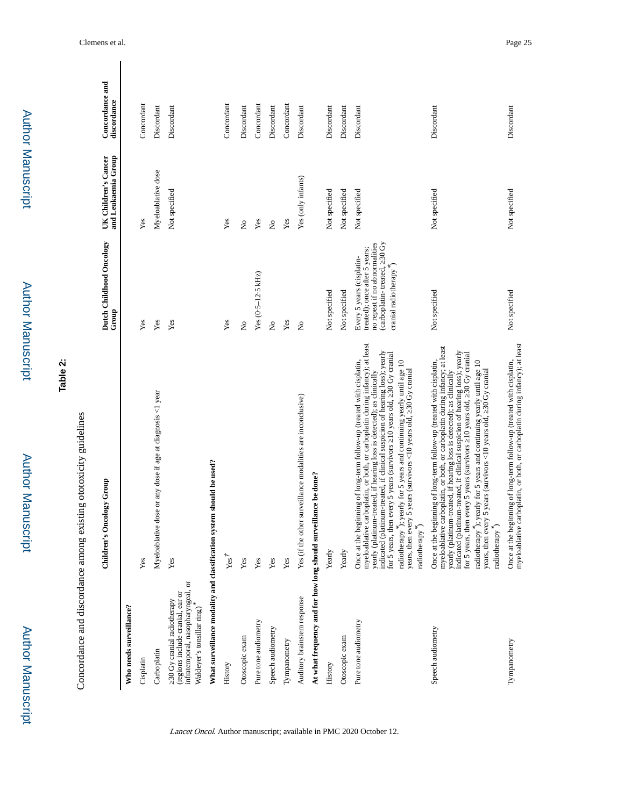| ٠ |
|---|
|   |
|   |
|   |
|   |
|   |
| j |
|   |
|   |
|   |
|   |
|   |
|   |
|   |
|   |
|   |
|   |
|   |
|   |
|   |
|   |
|   |
|   |
|   |
|   |
| l |
|   |
|   |
|   |
|   |
| ٠ |
|   |
|   |
|   |

 Author Manuscript**Author Manuscript**  **Table 2:**

Concordance and discordance among existing ototoxicity guidelines Concordance and discordance among existing ototoxicity guidelines

|                                                                                                                                    | Children's Oncology Group                                                                                                                                                                                                                                                                                                                                                                                                                                                                                                                                                                                  | Dutch Childhood Oncology<br>Group                                                                                                                                | and Leukaemia Group<br>UK Children's Cancer | Concordance and<br>discordance |
|------------------------------------------------------------------------------------------------------------------------------------|------------------------------------------------------------------------------------------------------------------------------------------------------------------------------------------------------------------------------------------------------------------------------------------------------------------------------------------------------------------------------------------------------------------------------------------------------------------------------------------------------------------------------------------------------------------------------------------------------------|------------------------------------------------------------------------------------------------------------------------------------------------------------------|---------------------------------------------|--------------------------------|
| Who needs surveillance?                                                                                                            |                                                                                                                                                                                                                                                                                                                                                                                                                                                                                                                                                                                                            |                                                                                                                                                                  |                                             |                                |
| Cisplatin                                                                                                                          | Yes                                                                                                                                                                                                                                                                                                                                                                                                                                                                                                                                                                                                        | Yes                                                                                                                                                              | Yes                                         | Concordant                     |
| Carboplatin                                                                                                                        | Myeloablative dose or any dose if age at diagnosis <l td="" year<=""><td>Yes</td><td>Myeloablative dose</td><td>Discordant</td></l>                                                                                                                                                                                                                                                                                                                                                                                                                                                                        | Yes                                                                                                                                                              | Myeloablative dose                          | Discordant                     |
| infratemporal, nasopharyngeal, or<br>(regions include cranial, ear or<br>30 Gy cranial radiotherapy<br>Waldeyer's tonsillar ring)* | Yes                                                                                                                                                                                                                                                                                                                                                                                                                                                                                                                                                                                                        | Yes                                                                                                                                                              | Not specified                               | Discordant                     |
|                                                                                                                                    | What surveillance modality and classification system should be used?                                                                                                                                                                                                                                                                                                                                                                                                                                                                                                                                       |                                                                                                                                                                  |                                             |                                |
| History                                                                                                                            | $\mathrm{Yes}^\dagger$                                                                                                                                                                                                                                                                                                                                                                                                                                                                                                                                                                                     | Yes                                                                                                                                                              | Yes                                         | Concordant                     |
| Otoscopic exam                                                                                                                     | Yes                                                                                                                                                                                                                                                                                                                                                                                                                                                                                                                                                                                                        | $\tilde{z}$                                                                                                                                                      | $\tilde{z}$                                 | Discordant                     |
| Pure tone audiometry                                                                                                               | Yes                                                                                                                                                                                                                                                                                                                                                                                                                                                                                                                                                                                                        | Yes $(0.5-12.5$ kHz)                                                                                                                                             | Yes                                         | Concordant                     |
| Speech audiometry                                                                                                                  | Yes                                                                                                                                                                                                                                                                                                                                                                                                                                                                                                                                                                                                        | $\stackrel{\circ}{\mathsf{z}}$                                                                                                                                   | $\tilde{z}$                                 | Discordant                     |
| Tympanometry                                                                                                                       | Yes                                                                                                                                                                                                                                                                                                                                                                                                                                                                                                                                                                                                        | Yes                                                                                                                                                              | Yes                                         | Concordant                     |
| Auditory brainstem response                                                                                                        | surveillance modalities are inconclusive)<br>Yes (if the other                                                                                                                                                                                                                                                                                                                                                                                                                                                                                                                                             | $\tilde{z}$                                                                                                                                                      | Yes (only infants)                          | Discordant                     |
| At what frequency and for how long should surveil                                                                                  | ance be done?                                                                                                                                                                                                                                                                                                                                                                                                                                                                                                                                                                                              |                                                                                                                                                                  |                                             |                                |
| History                                                                                                                            | Yearly                                                                                                                                                                                                                                                                                                                                                                                                                                                                                                                                                                                                     | Not specified                                                                                                                                                    | Not specified                               | Discordant                     |
| Otoscopic exam                                                                                                                     | Yearly                                                                                                                                                                                                                                                                                                                                                                                                                                                                                                                                                                                                     | Not specified                                                                                                                                                    | Not specified                               | Discordant                     |
| Pure tone audiometry                                                                                                               | myeloablative carboplatin, or both, or carboplatin during infancy); at least<br>indicated (platinum-treated, if clinical suspicion of hearing loss); yearly<br>for 5 years, then every 5 years (survivors 10 years old, 30 Gy cranial<br>radiotherapy ", yearly for 5 years and continuing yearly until age 10<br>Once at the beginning of long-term follow-up (treated with cisplatin,<br>5 years (survivors <10 years old, 30 Gy cranial<br>yearly (platinum-treated, if hearing loss is detected); as clinically<br>years, then every<br>radiotherapy $\displaystyle{\raisebox{0.6ex}{\scriptsize{*}}}$ | (carboplatin- treated, 30 Gy<br>no repeat if no abnormalities<br>treated); once after 5 years;<br>Every 5 years (cisplatin-<br>cranial radiotherapy <sup>*</sup> | Not specified                               | Discordant                     |
| Speech audiometry                                                                                                                  | myeloablative carboplatin, or both, or carboplatin during infancy; at least<br>indicated (platinum-treated, if clinical suspicion of hearing loss); yearly<br>for 5 years, then every 5 years (survivors 10 years old, 30 Gy cranial<br>radiotherapy $\stackrel{*}{\prime}$ ; yearly for 5 years and continuing yearly until age 10<br>Once at the beginning of long-term follow-up (treated with cisplatin,<br>5 years (survivors <10 years old, 30 Gy cranial<br>yearly (platinum-treated, if hearing loss is detected); as clinically<br>years, then every<br>radiotherapy $\tilde{}$                   | Not specified                                                                                                                                                    | Not specified                               | Discordant                     |
| Tympanometry                                                                                                                       | myeloablative carboplatin, or both, or carboplatin during infancy); at least<br>Once at the beginning of long-term follow-up (treated with cisplatin,                                                                                                                                                                                                                                                                                                                                                                                                                                                      | Not specified                                                                                                                                                    | Not specified                               | Discordant                     |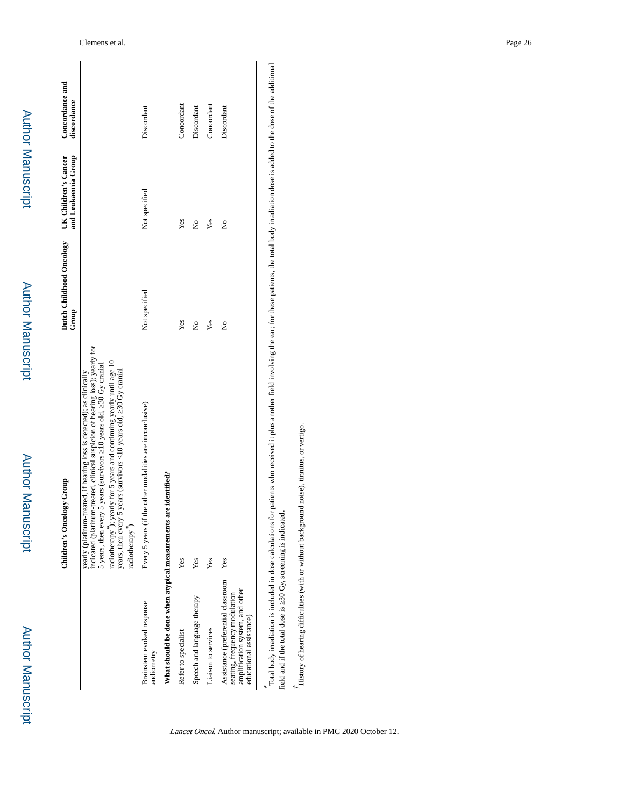|                                                                                                                                   | Children's Oncology Group                                                                                                                                                                                                                                                                                                                                                                                                                      | Dutch Childhood Oncology UK Children's Cancer<br>Group | and Leukaemia Group | Concordance and<br>discordance |
|-----------------------------------------------------------------------------------------------------------------------------------|------------------------------------------------------------------------------------------------------------------------------------------------------------------------------------------------------------------------------------------------------------------------------------------------------------------------------------------------------------------------------------------------------------------------------------------------|--------------------------------------------------------|---------------------|--------------------------------|
|                                                                                                                                   | indicated (platinum-treated, clinical suspicion of hearing loss); yearly for<br>radiotherapy <sup>5</sup> ); yearly for 5 years and continuing yearly until age 10<br>5 years, then every 5 years (survivors 10 years old, 30 Gy cranial<br>years, then every 5 years (survivors <10 years old, $30 \text{ Gy}$ cranial<br>yearly (platinum-treated, if hearing loss is detected); as clinically<br>radiotherapy $\tilde{\tilde{\varepsilon}}$ |                                                        |                     |                                |
| Brainstem evoked response<br>audiometry                                                                                           | Every 5 years (if the other modalities are inconclusive)                                                                                                                                                                                                                                                                                                                                                                                       | Not specified                                          | Not specified       | Discordant                     |
| What should be done when atypical measurements are identified?                                                                    |                                                                                                                                                                                                                                                                                                                                                                                                                                                |                                                        |                     |                                |
| Refer to specialist                                                                                                               | Yes                                                                                                                                                                                                                                                                                                                                                                                                                                            | Yes                                                    | Yes                 | Concordant                     |
| Speech and language therapy                                                                                                       | Yes                                                                                                                                                                                                                                                                                                                                                                                                                                            | ž                                                      | Σ,                  | Discordant                     |
| Liaison to services                                                                                                               | Yes                                                                                                                                                                                                                                                                                                                                                                                                                                            | Yes                                                    | Yes                 | Concordant                     |
| Assistance (preferential classroom<br>amplification system, and other<br>seating, frequency modulation<br>educational assistance) | Yes                                                                                                                                                                                                                                                                                                                                                                                                                                            | 2                                                      | ż                   | Discordant                     |
|                                                                                                                                   | Total body irradiation is included in dose calculations for patients who received it plus another field involving the sear; for these patients, the total body irradiation dose is added to the additional                                                                                                                                                                                                                                     |                                                        |                     |                                |

Total body irradiation is included in dose calculations for patients who received it plus another field involving the ear; for these patients, the total body irradiation dose is added to the dose of the additional field and if the total dose is 20 Gy, screening is indicated.

 $^\prime\!$  History of hearing difficulties (with or without background noise), timitus, or vertigo. History of hearing difficulties (with or without background noise), tinnitus, or vertigo.

Author Manuscript

Author Manuscript

Author Manuscript

**Author Manuscript** 

Author Manuscript

Author Manuscript

Author Manuscript

Author Manuscript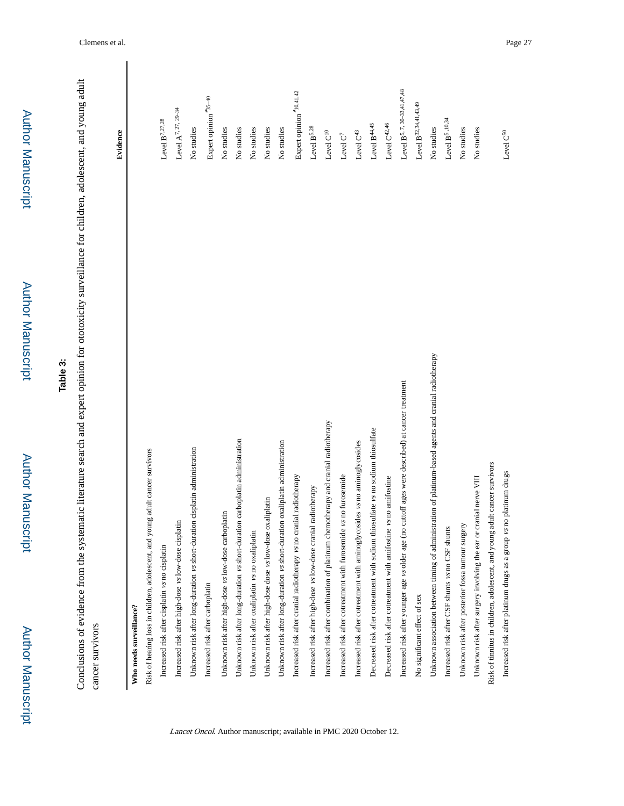| 'n |
|----|
|    |
|    |
|    |
|    |
|    |
| ï  |
|    |
|    |
|    |
|    |
|    |
|    |
|    |
|    |
|    |
|    |
|    |
|    |
|    |
|    |
|    |
|    |
|    |
|    |
|    |
|    |
|    |
|    |
|    |
|    |
|    |
|    |
|    |
|    |
| ī  |
|    |
|    |
|    |
|    |

## **Table 3:**

Conclusions of evidence from the systematic literature search and expert opinion for ototoxicity surveillance for children, adolescent, and young adult Conclusions of evidence from the systematic literature search and expert opinion for ototoxicity surveillance for children, adolescent, and young adult cancer survivors cancer survivors

|                                                                                                        | Evidence                                |
|--------------------------------------------------------------------------------------------------------|-----------------------------------------|
| Who needs surveillance?                                                                                |                                         |
| Risk of hearing loss in children, adolescent, and young adult cancer survivors                         |                                         |
| Increased risk after cisplatin vs no cisplatin                                                         | Level $\mathbf{B}^{7,27,28}$            |
| Increased risk after high-dose vs low-dose cisplatin                                                   | Level A <sup>7, 27, 29–34</sup>         |
| Unknown risk after long-duration vs short-duration cisplatin administration                            | No studies                              |
| Increased risk after carboplatin                                                                       | Expert opinion *35-40                   |
| Unknown risk after high-dose vs low-dose carboplatin                                                   | No studies                              |
| Unknown risk after long-duration vs short-duration carboplatin administration                          | No studies                              |
| Unknown risk after oxaliplatin vs no oxaliplatin                                                       | No studies                              |
| Unknown risk after high-dose dose vs low-dose oxaliplatin                                              | No studies                              |
| Unknown risk after long-duration vs short-duration oxaliplatin administration                          | No studies                              |
| cranial radiotherapy<br>Increased risk after cranial radiotherapy vs no                                | Expert opinion *10,41,42                |
| Increased risk after high-dose vs low-dose cranial radiotherapy                                        | Level B <sup>5,28</sup>                 |
| Increased risk after combination of platinum chemotherapy and cranial radiotherapy                     | Level $C^{10}$                          |
| Increased risk after cotreatment with furosemide vs no furosemide                                      | Level $\mathbf{C}^7$                    |
| Increased risk after cotreatment with aminoglycosides vs no aminoglycosides                            | Level $C^{43}$                          |
| Decreased risk after cotreatment with sodium thiosulfate vs no sodium thiosulfate                      | Level $B^{44,45}$                       |
| Decreased risk after cotreatment with amifostine vs no amifostine                                      | Level $C^{42,46}$                       |
| Increased risk after younger age vs older age (no cuttoff ages were described) at cancer treatment     | Level B <sup>5, 7, 30-33,41,47,48</sup> |
| No significant effect of sex                                                                           | Level $B^{32,34,41,43,49}$              |
| Unknown association between timing of administration of platinum-based agents and cranial radiotherapy | No studies                              |
| Increased risk after CSF shunts vs no CSF shunts                                                       | Level $\mathbf{B}^{5\,,10,34}$          |
| Unknown risk after posterior fossa tumour surgery                                                      | No studies                              |
| Unknown risk after surgery involving the ear or cranial nerve VIII                                     | No studies                              |
| Risk of tinnitus in children, adolescent, and young adult cancer survivors                             |                                         |
| vs no platinum drugs<br>Increased risk after platinum drugs as a group                                 | Level C <sup>50</sup>                   |
|                                                                                                        |                                         |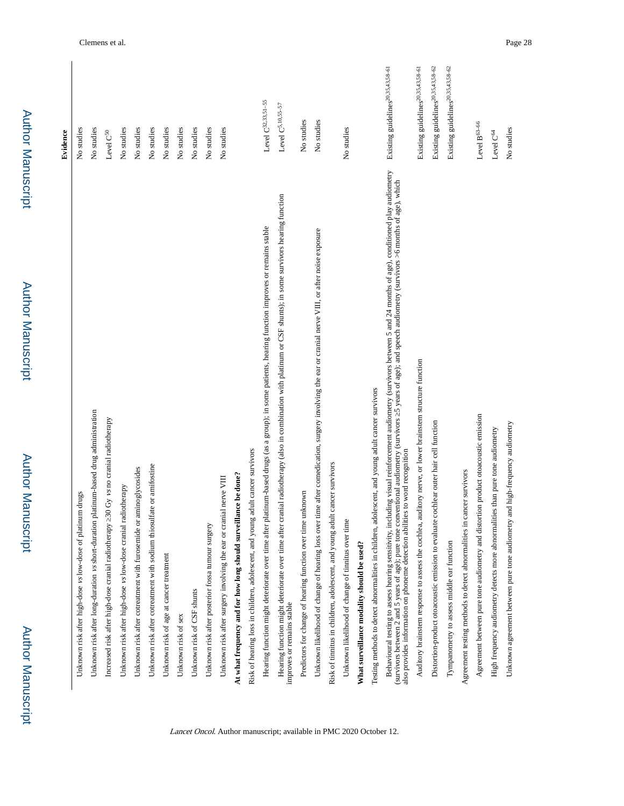|                                                                                                                                                                                                                                                                                                                                                                                                          | Evidence                                      |
|----------------------------------------------------------------------------------------------------------------------------------------------------------------------------------------------------------------------------------------------------------------------------------------------------------------------------------------------------------------------------------------------------------|-----------------------------------------------|
| Unknown risk after high-dose vs low-dose of platinum drugs                                                                                                                                                                                                                                                                                                                                               | No studies                                    |
| Unknown risk after long-duration vs short-duration platinum-based drug administration                                                                                                                                                                                                                                                                                                                    | No studies                                    |
| 30 Gy vs no cranial radiotherapy<br>Increased risk after high-dose cranial radiotherapy                                                                                                                                                                                                                                                                                                                  | Level C <sup>50</sup>                         |
| Unknown risk after high-dose vs low-dose cranial radiotherapy                                                                                                                                                                                                                                                                                                                                            | No studies                                    |
| aminoglycosides<br>Unknown risk after cotreatment with furosemide or                                                                                                                                                                                                                                                                                                                                     | No studies                                    |
| Unknown risk after cotreatment with sodium thiosulfate or amifostine                                                                                                                                                                                                                                                                                                                                     | No studies                                    |
| Unknown risk of age at cancer treatment                                                                                                                                                                                                                                                                                                                                                                  | No studies                                    |
| Unknown risk of sex                                                                                                                                                                                                                                                                                                                                                                                      | No studies                                    |
| Unknown risk of CSF shunts                                                                                                                                                                                                                                                                                                                                                                               | No studies                                    |
| Unknown risk after posterior fossa tumour surgery                                                                                                                                                                                                                                                                                                                                                        | No studies                                    |
| Unknown risk after surgery involving the ear or cranial nerve VIII                                                                                                                                                                                                                                                                                                                                       | No studies                                    |
| lance be done?<br>At what frequency and for how long should surveill                                                                                                                                                                                                                                                                                                                                     |                                               |
| ; adult cancer survivors<br>Risk of hearing loss in children, adolescent, and young                                                                                                                                                                                                                                                                                                                      |                                               |
| Hearing function might deteriorate over time after platinum-based drugs (as a group); in some patients, hearing function improves or remains stable                                                                                                                                                                                                                                                      | Level $C^{32,33,51-55}$                       |
| Hearing function might deteriorate over time after cranial radiotherapy (also in combination with platinum or CSF shunts); in some survivors hearing function<br>improves or remains stable                                                                                                                                                                                                              | Level $C^{5,10,55-57}$                        |
| Predictors for change of hearing function over time unknown                                                                                                                                                                                                                                                                                                                                              | No studies                                    |
| time after comedication, surgery involving the ear or cranial nerve VIII, or after noise exposure<br>Unknown likelihood of change of hearing loss over                                                                                                                                                                                                                                                   | No studies                                    |
| Risk of tinnitus in children, adolescent, and young adult cancer survivors                                                                                                                                                                                                                                                                                                                               |                                               |
| Unknown likelihood of change of tinnitus over time                                                                                                                                                                                                                                                                                                                                                       | No studies                                    |
| What surveillance modality should be used?                                                                                                                                                                                                                                                                                                                                                               |                                               |
| Testing methods to detect abnormalities in children, adolescent, and young adult cancer survivors                                                                                                                                                                                                                                                                                                        |                                               |
| Behavioural testing to assess hearing sensitivity, including visual reinforcement audiometry (survivors between 5 and 24 months of age), conditioned play audiometry<br>(survivors between 2 and 5 years of age); pure tone conventional audiometry (survivors 5 years of age); and speech audiometry (survivors >6 months of age), which<br>also provides information on phoneme detection abilities to | Existing guidelines <sup>20,35,43,58-61</sup> |
| Auditory brainstem response to assess the cochlea, auditory nerve, or lower brainstem structure function                                                                                                                                                                                                                                                                                                 | Existing guidelines <sup>20,35,43,58-61</sup> |
| Distortion-product otoacoustic emission to evaluate cochlear outer hair cell function                                                                                                                                                                                                                                                                                                                    | Existing guidelines <sup>20,35,43,58-62</sup> |
| Tympanometry to assess middle ear function                                                                                                                                                                                                                                                                                                                                                               | Existing guidelines <sup>20,35,43,58-62</sup> |
| Agreement testing methods to detect abnormalities in cancer survivors                                                                                                                                                                                                                                                                                                                                    |                                               |
| Agreement between pure tone audiometry and distortion product otoacoustic emission                                                                                                                                                                                                                                                                                                                       | Level $B^{63-66}$                             |
| High frequency audiometry detects more abnormalities than pure tone audiometry                                                                                                                                                                                                                                                                                                                           | Level C <sup>64</sup>                         |
| and high-frequency audiometry<br>Unknown agreement between pure tone audiometry                                                                                                                                                                                                                                                                                                                          | No studies                                    |

Author Manuscript

**Author Manuscript** 

Author Manuscript

Author Manuscript

Author Manuscript

**Author Manuscript** 

Author Manuscript

Author Manuscript